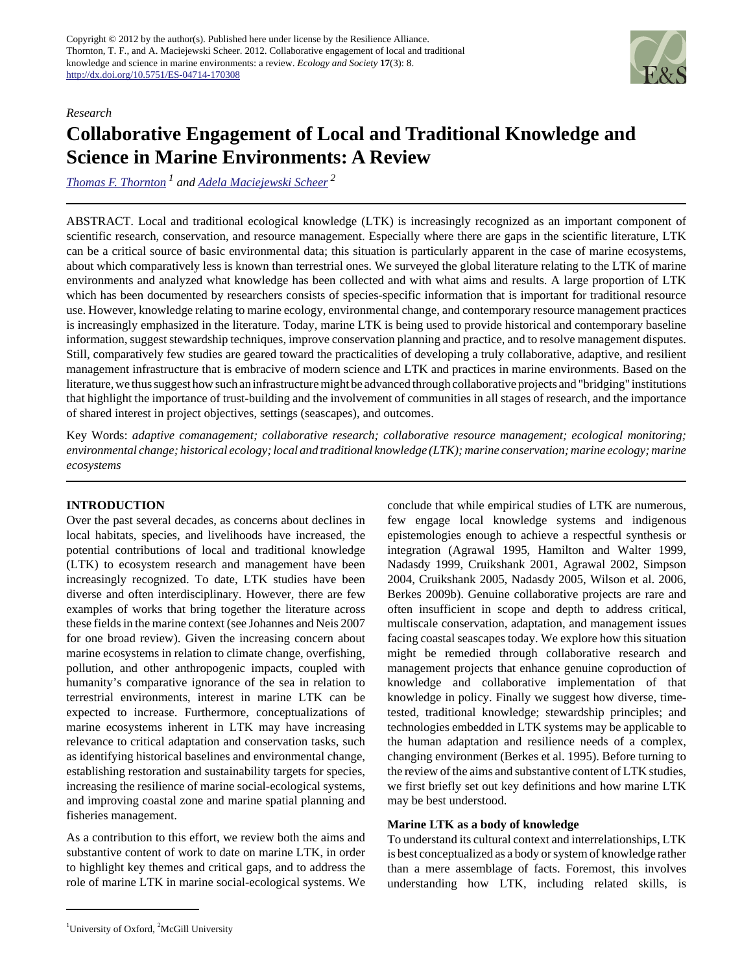

## *Research*

# **Collaborative Engagement of Local and Traditional Knowledge and Science in Marine Environments: A Review**

*[Thomas F. Thornton](mailto:thomas.thornton@ouce.ox.ac.uk) 1 and [Adela Maciejewski Scheer](mailto:admasch@gmail.com)<sup>2</sup>*

ABSTRACT. Local and traditional ecological knowledge (LTK) is increasingly recognized as an important component of scientific research, conservation, and resource management. Especially where there are gaps in the scientific literature, LTK can be a critical source of basic environmental data; this situation is particularly apparent in the case of marine ecosystems, about which comparatively less is known than terrestrial ones. We surveyed the global literature relating to the LTK of marine environments and analyzed what knowledge has been collected and with what aims and results. A large proportion of LTK which has been documented by researchers consists of species-specific information that is important for traditional resource use. However, knowledge relating to marine ecology, environmental change, and contemporary resource management practices is increasingly emphasized in the literature. Today, marine LTK is being used to provide historical and contemporary baseline information, suggest stewardship techniques, improve conservation planning and practice, and to resolve management disputes. Still, comparatively few studies are geared toward the practicalities of developing a truly collaborative, adaptive, and resilient management infrastructure that is embracive of modern science and LTK and practices in marine environments. Based on the literature, we thus suggest how such an infrastructure might be advanced through collaborative projects and "bridging" institutions that highlight the importance of trust-building and the involvement of communities in all stages of research, and the importance of shared interest in project objectives, settings (seascapes), and outcomes.

Key Words: *adaptive comanagement; collaborative research; collaborative resource management; ecological monitoring; environmental change; historical ecology; local and traditional knowledge (LTK); marine conservation; marine ecology; marine ecosystems*

## **INTRODUCTION**

Over the past several decades, as concerns about declines in local habitats, species, and livelihoods have increased, the potential contributions of local and traditional knowledge (LTK) to ecosystem research and management have been increasingly recognized. To date, LTK studies have been diverse and often interdisciplinary. However, there are few examples of works that bring together the literature across these fields in the marine context (see Johannes and Neis 2007 for one broad review). Given the increasing concern about marine ecosystems in relation to climate change, overfishing, pollution, and other anthropogenic impacts, coupled with humanity's comparative ignorance of the sea in relation to terrestrial environments, interest in marine LTK can be expected to increase. Furthermore, conceptualizations of marine ecosystems inherent in LTK may have increasing relevance to critical adaptation and conservation tasks, such as identifying historical baselines and environmental change, establishing restoration and sustainability targets for species, increasing the resilience of marine social-ecological systems, and improving coastal zone and marine spatial planning and fisheries management.

As a contribution to this effort, we review both the aims and substantive content of work to date on marine LTK, in order to highlight key themes and critical gaps, and to address the role of marine LTK in marine social-ecological systems. We conclude that while empirical studies of LTK are numerous, few engage local knowledge systems and indigenous epistemologies enough to achieve a respectful synthesis or integration (Agrawal 1995, Hamilton and Walter 1999, Nadasdy 1999, Cruikshank 2001, Agrawal 2002, Simpson 2004, Cruikshank 2005, Nadasdy 2005, Wilson et al. 2006, Berkes 2009b). Genuine collaborative projects are rare and often insufficient in scope and depth to address critical, multiscale conservation, adaptation, and management issues facing coastal seascapes today. We explore how this situation might be remedied through collaborative research and management projects that enhance genuine coproduction of knowledge and collaborative implementation of that knowledge in policy. Finally we suggest how diverse, timetested, traditional knowledge; stewardship principles; and technologies embedded in LTK systems may be applicable to the human adaptation and resilience needs of a complex, changing environment (Berkes et al. 1995). Before turning to the review of the aims and substantive content of LTK studies, we first briefly set out key definitions and how marine LTK may be best understood.

### **Marine LTK as a body of knowledge**

To understand its cultural context and interrelationships, LTK is best conceptualized as a body or system of knowledge rather than a mere assemblage of facts. Foremost, this involves understanding how LTK, including related skills, is

<sup>&</sup>lt;sup>1</sup>University of Oxford,  ${}^{2}$ McGill University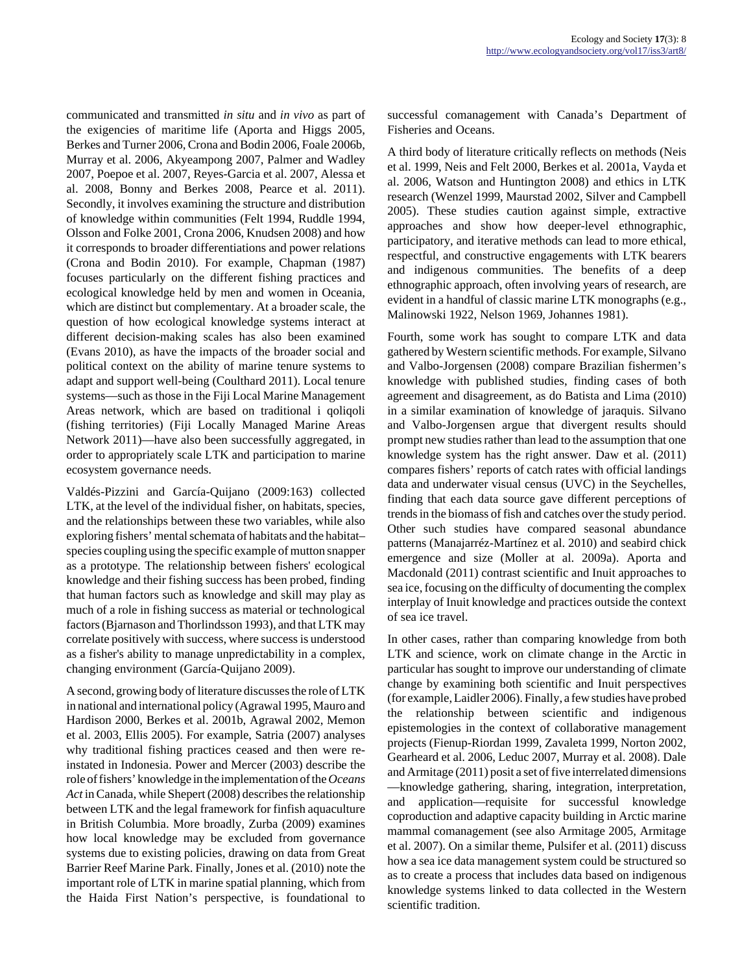communicated and transmitted *in situ* and *in vivo* as part of the exigencies of maritime life (Aporta and Higgs 2005, Berkes and Turner 2006, Crona and Bodin 2006, Foale 2006b, Murray et al. 2006, Akyeampong 2007, Palmer and Wadley 2007, Poepoe et al. 2007, Reyes-Garcia et al. 2007, Alessa et al. 2008, Bonny and Berkes 2008, Pearce et al. 2011). Secondly, it involves examining the structure and distribution of knowledge within communities (Felt 1994, Ruddle 1994, Olsson and Folke 2001, Crona 2006, Knudsen 2008) and how it corresponds to broader differentiations and power relations (Crona and Bodin 2010). For example, Chapman (1987) focuses particularly on the different fishing practices and ecological knowledge held by men and women in Oceania, which are distinct but complementary. At a broader scale, the question of how ecological knowledge systems interact at different decision-making scales has also been examined (Evans 2010), as have the impacts of the broader social and political context on the ability of marine tenure systems to adapt and support well-being (Coulthard 2011). Local tenure systems—such as those in the Fiji Local Marine Management Areas network, which are based on traditional i qoliqoli (fishing territories) (Fiji Locally Managed Marine Areas Network 2011)—have also been successfully aggregated, in order to appropriately scale LTK and participation to marine ecosystem governance needs.

Valdés-Pizzini and García-Quijano (2009:163) collected LTK, at the level of the individual fisher, on habitats, species, and the relationships between these two variables, while also exploring fishers' mental schemata of habitats and the habitat– species coupling using the specific example of mutton snapper as a prototype. The relationship between fishers' ecological knowledge and their fishing success has been probed, finding that human factors such as knowledge and skill may play as much of a role in fishing success as material or technological factors (Bjarnason and Thorlindsson 1993), and that LTK may correlate positively with success, where success is understood as a fisher's ability to manage unpredictability in a complex, changing environment (García-Quijano 2009).

A second, growing body of literature discusses the role of LTK in national and international policy (Agrawal 1995, Mauro and Hardison 2000, Berkes et al. 2001b, Agrawal 2002, Memon et al. 2003, Ellis 2005). For example, Satria (2007) analyses why traditional fishing practices ceased and then were reinstated in Indonesia. Power and Mercer (2003) describe the role of fishers' knowledge in the implementation of the *Oceans Act* in Canada, while Shepert (2008) describes the relationship between LTK and the legal framework for finfish aquaculture in British Columbia. More broadly, Zurba (2009) examines how local knowledge may be excluded from governance systems due to existing policies, drawing on data from Great Barrier Reef Marine Park. Finally, Jones et al. (2010) note the important role of LTK in marine spatial planning, which from the Haida First Nation's perspective, is foundational to successful comanagement with Canada's Department of Fisheries and Oceans.

A third body of literature critically reflects on methods (Neis et al. 1999, Neis and Felt 2000, Berkes et al. 2001a, Vayda et al. 2006, Watson and Huntington 2008) and ethics in LTK research (Wenzel 1999, Maurstad 2002, Silver and Campbell 2005). These studies caution against simple, extractive approaches and show how deeper-level ethnographic, participatory, and iterative methods can lead to more ethical, respectful, and constructive engagements with LTK bearers and indigenous communities. The benefits of a deep ethnographic approach, often involving years of research, are evident in a handful of classic marine LTK monographs (e.g., Malinowski 1922, Nelson 1969, Johannes 1981).

Fourth, some work has sought to compare LTK and data gathered by Western scientific methods. For example, Silvano and Valbo-Jorgensen (2008) compare Brazilian fishermen's knowledge with published studies, finding cases of both agreement and disagreement, as do Batista and Lima (2010) in a similar examination of knowledge of jaraquis. Silvano and Valbo-Jorgensen argue that divergent results should prompt new studies rather than lead to the assumption that one knowledge system has the right answer. Daw et al. (2011) compares fishers' reports of catch rates with official landings data and underwater visual census (UVC) in the Seychelles, finding that each data source gave different perceptions of trends in the biomass of fish and catches over the study period. Other such studies have compared seasonal abundance patterns (Manajarréz-Martínez et al. 2010) and seabird chick emergence and size (Moller at al. 2009a). Aporta and Macdonald (2011) contrast scientific and Inuit approaches to sea ice, focusing on the difficulty of documenting the complex interplay of Inuit knowledge and practices outside the context of sea ice travel.

In other cases, rather than comparing knowledge from both LTK and science, work on climate change in the Arctic in particular has sought to improve our understanding of climate change by examining both scientific and Inuit perspectives (for example, Laidler 2006). Finally, a few studies have probed the relationship between scientific and indigenous epistemologies in the context of collaborative management projects (Fienup-Riordan 1999, Zavaleta 1999, Norton 2002, Gearheard et al. 2006, Leduc 2007, Murray et al. 2008). Dale and Armitage (2011) posit a set of five interrelated dimensions —knowledge gathering, sharing, integration, interpretation, and application—requisite for successful knowledge coproduction and adaptive capacity building in Arctic marine mammal comanagement (see also Armitage 2005, Armitage et al. 2007). On a similar theme, Pulsifer et al. (2011) discuss how a sea ice data management system could be structured so as to create a process that includes data based on indigenous knowledge systems linked to data collected in the Western scientific tradition.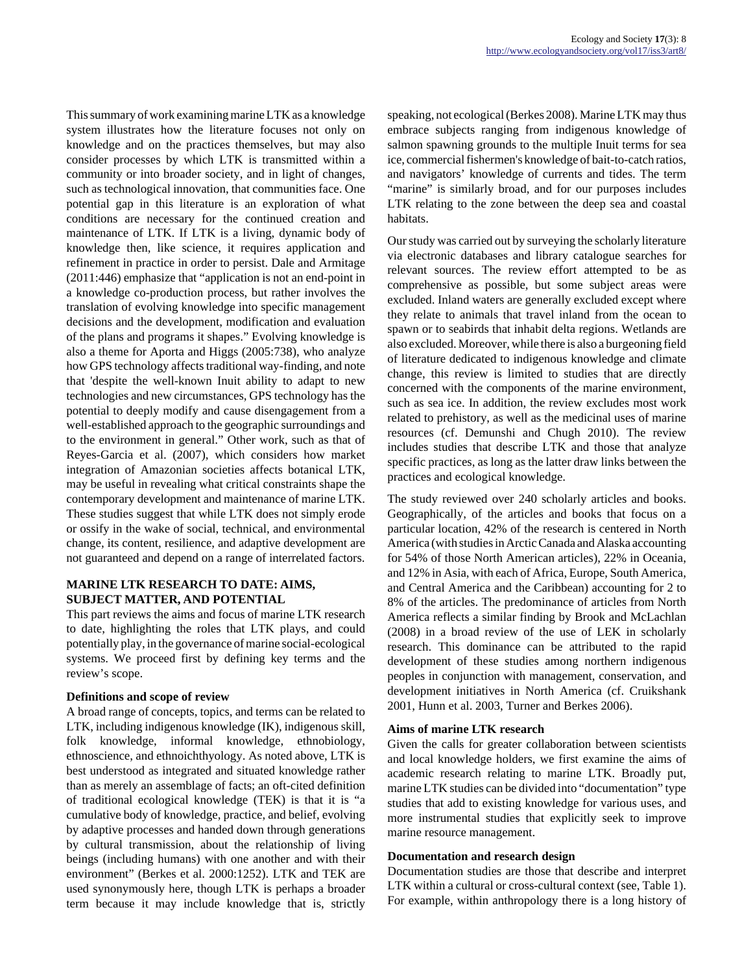This summary of work examining marine LTK as a knowledge system illustrates how the literature focuses not only on knowledge and on the practices themselves, but may also consider processes by which LTK is transmitted within a community or into broader society, and in light of changes, such as technological innovation, that communities face. One potential gap in this literature is an exploration of what conditions are necessary for the continued creation and maintenance of LTK. If LTK is a living, dynamic body of knowledge then, like science, it requires application and refinement in practice in order to persist. Dale and Armitage (2011:446) emphasize that "application is not an end-point in a knowledge co-production process, but rather involves the translation of evolving knowledge into specific management decisions and the development, modification and evaluation of the plans and programs it shapes." Evolving knowledge is also a theme for Aporta and Higgs (2005:738), who analyze how GPS technology affects traditional way-finding, and note that 'despite the well-known Inuit ability to adapt to new technologies and new circumstances, GPS technology has the potential to deeply modify and cause disengagement from a well-established approach to the geographic surroundings and to the environment in general." Other work, such as that of Reyes-Garcia et al. (2007), which considers how market integration of Amazonian societies affects botanical LTK, may be useful in revealing what critical constraints shape the contemporary development and maintenance of marine LTK. These studies suggest that while LTK does not simply erode or ossify in the wake of social, technical, and environmental change, its content, resilience, and adaptive development are not guaranteed and depend on a range of interrelated factors.

## **MARINE LTK RESEARCH TO DATE: AIMS, SUBJECT MATTER, AND POTENTIAL**

This part reviews the aims and focus of marine LTK research to date, highlighting the roles that LTK plays, and could potentially play, in the governance of marine social-ecological systems. We proceed first by defining key terms and the review's scope.

## **Definitions and scope of review**

A broad range of concepts, topics, and terms can be related to LTK, including indigenous knowledge (IK), indigenous skill, folk knowledge, informal knowledge, ethnobiology, ethnoscience, and ethnoichthyology. As noted above, LTK is best understood as integrated and situated knowledge rather than as merely an assemblage of facts; an oft-cited definition of traditional ecological knowledge (TEK) is that it is "a cumulative body of knowledge, practice, and belief, evolving by adaptive processes and handed down through generations by cultural transmission, about the relationship of living beings (including humans) with one another and with their environment" (Berkes et al. 2000:1252). LTK and TEK are used synonymously here, though LTK is perhaps a broader term because it may include knowledge that is, strictly speaking, not ecological (Berkes 2008). Marine LTK may thus embrace subjects ranging from indigenous knowledge of salmon spawning grounds to the multiple Inuit terms for sea ice, commercial fishermen's knowledge of bait-to-catch ratios, and navigators' knowledge of currents and tides. The term "marine" is similarly broad, and for our purposes includes LTK relating to the zone between the deep sea and coastal habitats.

Our study was carried out by surveying the scholarly literature via electronic databases and library catalogue searches for relevant sources. The review effort attempted to be as comprehensive as possible, but some subject areas were excluded. Inland waters are generally excluded except where they relate to animals that travel inland from the ocean to spawn or to seabirds that inhabit delta regions. Wetlands are also excluded. Moreover, while there is also a burgeoning field of literature dedicated to indigenous knowledge and climate change, this review is limited to studies that are directly concerned with the components of the marine environment, such as sea ice. In addition, the review excludes most work related to prehistory, as well as the medicinal uses of marine resources (cf. Demunshi and Chugh 2010). The review includes studies that describe LTK and those that analyze specific practices, as long as the latter draw links between the practices and ecological knowledge.

The study reviewed over 240 scholarly articles and books. Geographically, of the articles and books that focus on a particular location, 42% of the research is centered in North America (with studies in Arctic Canada and Alaska accounting for 54% of those North American articles), 22% in Oceania, and 12% in Asia, with each of Africa, Europe, South America, and Central America and the Caribbean) accounting for 2 to 8% of the articles. The predominance of articles from North America reflects a similar finding by Brook and McLachlan (2008) in a broad review of the use of LEK in scholarly research. This dominance can be attributed to the rapid development of these studies among northern indigenous peoples in conjunction with management, conservation, and development initiatives in North America (cf. Cruikshank 2001, Hunn et al. 2003, Turner and Berkes 2006).

## **Aims of marine LTK research**

Given the calls for greater collaboration between scientists and local knowledge holders, we first examine the aims of academic research relating to marine LTK. Broadly put, marine LTK studies can be divided into "documentation" type studies that add to existing knowledge for various uses, and more instrumental studies that explicitly seek to improve marine resource management.

### **Documentation and research design**

Documentation studies are those that describe and interpret LTK within a cultural or cross-cultural context (see, Table 1). For example, within anthropology there is a long history of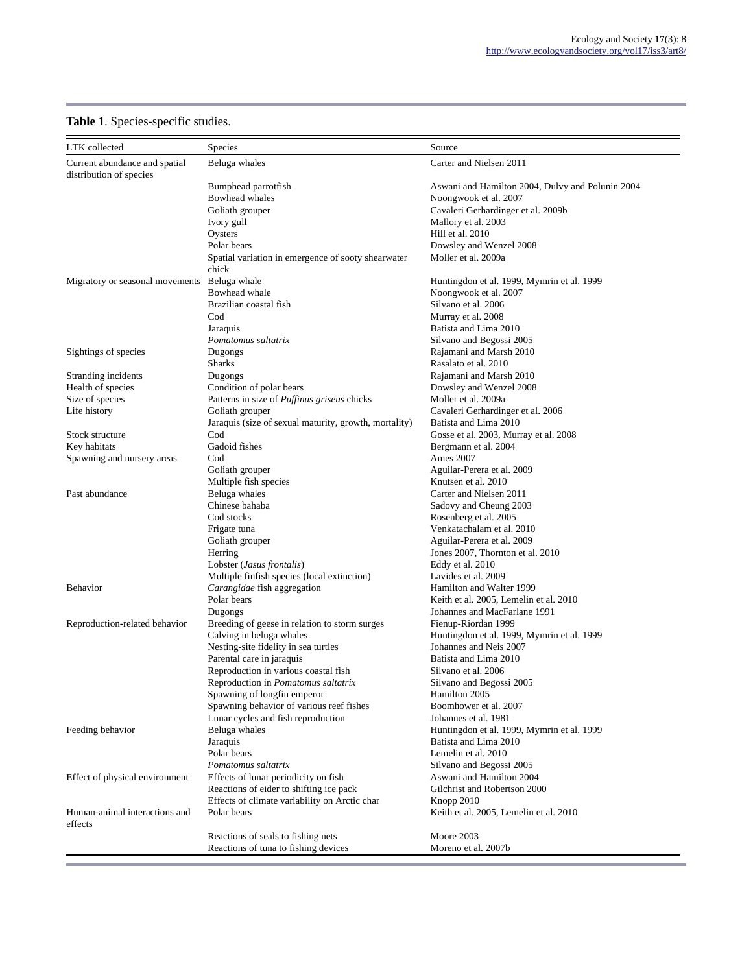#### LTK collected Species Source Species Source Current abundance and spatial distribution of species Beluga whales Carter and Nielsen 2011 Bumphead parrotfish Aswani and Hamilton 2004, Dulvy and Polunin 2004 Bowhead whales Noongwook et al. 2007 Goliath grouper Cavaleri Gerhardinger et al. 2009b Ivory gull Mallory et al. 2003 Oysters Hill et al. 2010 Polar bears Dowsley and Wenzel 2008 Spatial variation in emergence of sooty shearwater chick Moller et al. 2009a Migratory or seasonal movements Beluga whale Huntingdon et al. 1999, Mymrin et al. 1999 Bowhead whale Noongwook et al. 2007 Brazilian coastal fish Silvano et al. 2006 Cod Murray et al. 2008 Jaraquis Batista and Lima 2010 Silvano and Begossi 2005 Sightings of species Dugongs Rajamani and Marsh 2010 Sharks Rasalato et al. 2010 Stranding incidents Dugongs Dugongs Rajamani and Marsh 2010<br>
Health of species Condition of polar bears Rajamani and Marsh 2008<br>
Dowsley and Wenzel 2008 Health of species Condition of polar bears Dowsley and Wenzel 2008<br>Size of species Patterns in size of *Puffinus griseus* chicks Moller et al. 2009a Patterns in size of *Puffinus griseus* chicks Life history Goliath grouper Cavaleri Gerhardinger et al. 2006 Jaraquis (size of sexual maturity, growth, mortality) Batista and Lima 2010 Stock structure Cod Cod Gosse et al. 2003, Murray et al. 2008 Key habitats Gadoid fishes Gadoid fishes Bergmann et al. 2004<br>Spawning and nursery areas Cod Gadoid fishes and the Supervey of the Supervey of the Supervey of the Supervey of the Supervey of the Supervey of the Supervey of Spawning and nursery areas Goliath grouper<br>
Multiple fish species<br>
Multiple fish species<br>
Multiple fish species<br>
Aguilar-Perera et al. 2010 Multiple fish species Past abundance Beluga whales Carter and Nielsen 2011 Chinese bahaba Sadovy and Cheung 2003<br>Cod stocks Rosenberg et al. 2005 Cod stocks<br>
Frigate tuna<br>
Frigate tuna<br>
Rosenberg et al. 2005<br>
Penkatachalam et al. Venkatachalam et al. 2010 Goliath grouper Aguilar-Perera et al. 2009 Herring Jones 2007, Thornton et al. 2010 Lobster (*Jasus frontalis*) Eddy et al. 2010<br>
Multiple finfish species (local extinction) Lavides et al. 2009 Multiple finfish species (local extinction) Lavides et al. 2009<br>Carangidae fish aggregation Hamilton and Walter 1999 Behavior *Carangidae* fish aggregation Polar bears Keith et al. 2005, Lemelin et al. 2010 Dugongs<br>Breeding of geese in relation to storm surges Fienup-Riordan 1999<br>Fienup-Riordan 1999 Reproduction-related behavior Breeding of geese in relation to storm surges<br>Calving in beluga whales Huntingdon et al. 1999, Mymrin et al. 1999<br>Johannes and Neis 2007 Nesting-site fidelity in sea turtles Parental care in jaraquis Batista and Lima 2010 Reproduction in various coastal fish Silvano et al. 2006 Reproduction in *Pomatomus saltatrix* Silvano and Begossi 2005 Spawning of longfin emperor Hamilton 2005 Spawning behavior of various reef fishes Boomhower et al. 2007 Lunar cycles and fish reproduction Johannes et al. 1981 Feeding behavior **Beluga** whales **Beluga** whales **Huntingdon et al. 1999, Mymrin et al. 1999** Jaraquis Batista and Lima 2010 Polar bears<br>
Pomatomus saltatrix<br>
Pomatomus saltatrix<br>
Silvano and Begoss *Pomatomus saltation and Begossi 2005*<br>*Aswani and Hamilton 2004* Effect of physical environment Effects of lunar periodicity on fish Reactions of eider to shifting ice pack Gilchrist and Robertson 2000 Effects of climate variability on Arctic char Knopp 2010 Human-animal interactions and effects Polar bears Keith et al. 2005, Lemelin et al. 2010 Reactions of seals to fishing nets Moore 2003 Reactions of tuna to fishing devices Moreno et al. 2007b

#### **Table 1**. Species-specific studies.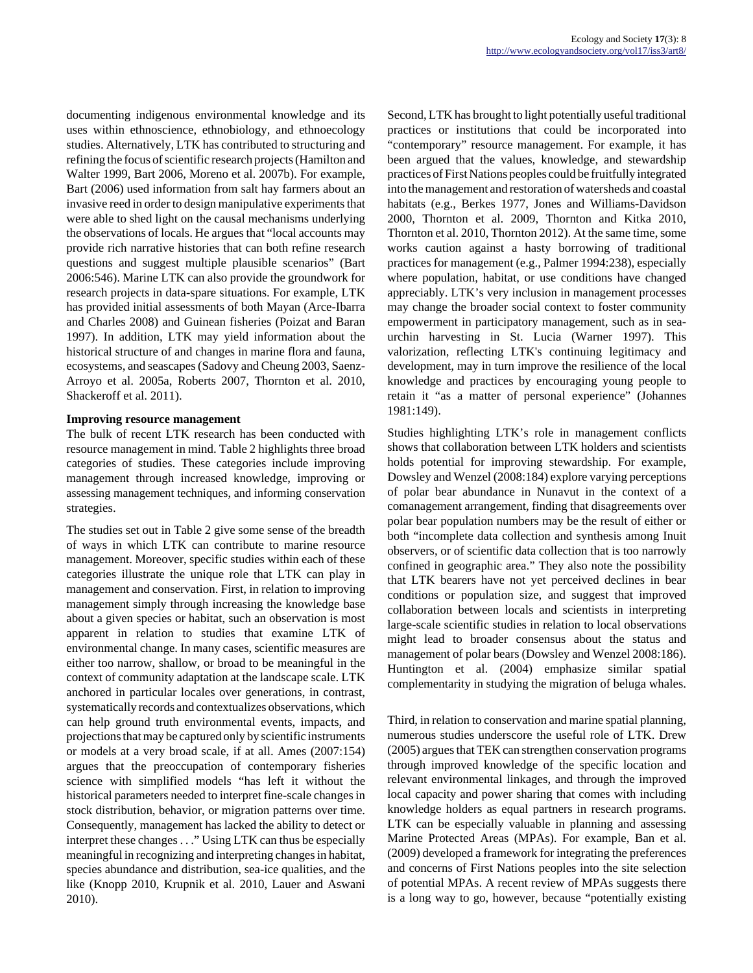documenting indigenous environmental knowledge and its uses within ethnoscience, ethnobiology, and ethnoecology studies. Alternatively, LTK has contributed to structuring and refining the focus of scientific research projects (Hamilton and Walter 1999, Bart 2006, Moreno et al. 2007b). For example, Bart (2006) used information from salt hay farmers about an invasive reed in order to design manipulative experiments that were able to shed light on the causal mechanisms underlying the observations of locals. He argues that "local accounts may provide rich narrative histories that can both refine research questions and suggest multiple plausible scenarios" (Bart 2006:546). Marine LTK can also provide the groundwork for research projects in data-spare situations. For example, LTK has provided initial assessments of both Mayan (Arce-Ibarra and Charles 2008) and Guinean fisheries (Poizat and Baran 1997). In addition, LTK may yield information about the historical structure of and changes in marine flora and fauna, ecosystems, and seascapes (Sadovy and Cheung 2003, Saenz-Arroyo et al. 2005a, Roberts 2007, Thornton et al. 2010, Shackeroff et al. 2011).

### **Improving resource management**

The bulk of recent LTK research has been conducted with resource management in mind. Table 2 highlights three broad categories of studies. These categories include improving management through increased knowledge, improving or assessing management techniques, and informing conservation strategies.

The studies set out in Table 2 give some sense of the breadth of ways in which LTK can contribute to marine resource management. Moreover, specific studies within each of these categories illustrate the unique role that LTK can play in management and conservation. First, in relation to improving management simply through increasing the knowledge base about a given species or habitat, such an observation is most apparent in relation to studies that examine LTK of environmental change. In many cases, scientific measures are either too narrow, shallow, or broad to be meaningful in the context of community adaptation at the landscape scale. LTK anchored in particular locales over generations, in contrast, systematically records and contextualizes observations, which can help ground truth environmental events, impacts, and projections that may be captured only by scientific instruments or models at a very broad scale, if at all. Ames (2007:154) argues that the preoccupation of contemporary fisheries science with simplified models "has left it without the historical parameters needed to interpret fine-scale changes in stock distribution, behavior, or migration patterns over time. Consequently, management has lacked the ability to detect or interpret these changes . . ." Using LTK can thus be especially meaningful in recognizing and interpreting changes in habitat, species abundance and distribution, sea-ice qualities, and the like (Knopp 2010, Krupnik et al. 2010, Lauer and Aswani 2010).

Second, LTK has brought to light potentially useful traditional practices or institutions that could be incorporated into "contemporary" resource management. For example, it has been argued that the values, knowledge, and stewardship practices of First Nations peoples could be fruitfully integrated into the management and restoration of watersheds and coastal habitats (e.g., Berkes 1977, Jones and Williams-Davidson 2000, Thornton et al. 2009, Thornton and Kitka 2010, Thornton et al. 2010, Thornton 2012). At the same time, some works caution against a hasty borrowing of traditional practices for management (e.g., Palmer 1994:238), especially where population, habitat, or use conditions have changed appreciably. LTK's very inclusion in management processes may change the broader social context to foster community empowerment in participatory management, such as in seaurchin harvesting in St. Lucia (Warner 1997). This valorization, reflecting LTK's continuing legitimacy and development, may in turn improve the resilience of the local knowledge and practices by encouraging young people to retain it "as a matter of personal experience" (Johannes 1981:149).

Studies highlighting LTK's role in management conflicts shows that collaboration between LTK holders and scientists holds potential for improving stewardship. For example, Dowsley and Wenzel (2008:184) explore varying perceptions of polar bear abundance in Nunavut in the context of a comanagement arrangement, finding that disagreements over polar bear population numbers may be the result of either or both "incomplete data collection and synthesis among Inuit observers, or of scientific data collection that is too narrowly confined in geographic area." They also note the possibility that LTK bearers have not yet perceived declines in bear conditions or population size, and suggest that improved collaboration between locals and scientists in interpreting large-scale scientific studies in relation to local observations might lead to broader consensus about the status and management of polar bears (Dowsley and Wenzel 2008:186). Huntington et al. (2004) emphasize similar spatial complementarity in studying the migration of beluga whales.

Third, in relation to conservation and marine spatial planning, numerous studies underscore the useful role of LTK. Drew (2005) argues that TEK can strengthen conservation programs through improved knowledge of the specific location and relevant environmental linkages, and through the improved local capacity and power sharing that comes with including knowledge holders as equal partners in research programs. LTK can be especially valuable in planning and assessing Marine Protected Areas (MPAs). For example, Ban et al. (2009) developed a framework for integrating the preferences and concerns of First Nations peoples into the site selection of potential MPAs. A recent review of MPAs suggests there is a long way to go, however, because "potentially existing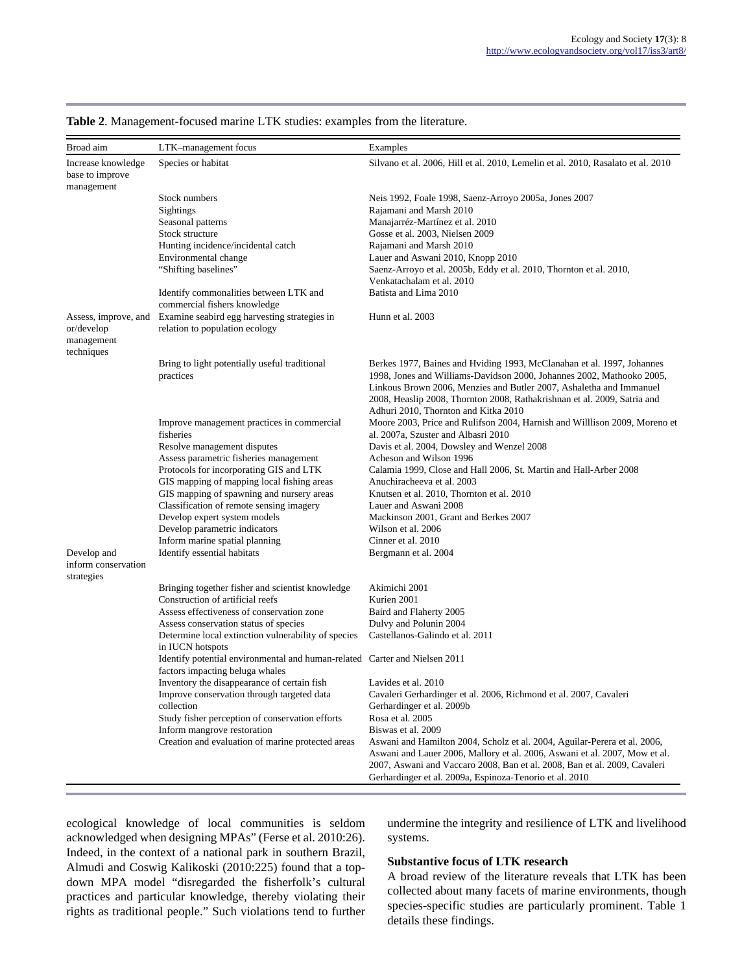| Broad aim                                                      | LTK-management focus                                                                                          | Examples                                                                                                                                                                                                                                                                                                                                   |
|----------------------------------------------------------------|---------------------------------------------------------------------------------------------------------------|--------------------------------------------------------------------------------------------------------------------------------------------------------------------------------------------------------------------------------------------------------------------------------------------------------------------------------------------|
| Increase knowledge<br>base to improve<br>management            | Species or habitat                                                                                            | Silvano et al. 2006, Hill et al. 2010, Lemelin et al. 2010, Rasalato et al. 2010                                                                                                                                                                                                                                                           |
|                                                                | Stock numbers                                                                                                 | Neis 1992, Foale 1998, Saenz-Arroyo 2005a, Jones 2007                                                                                                                                                                                                                                                                                      |
|                                                                | Sightings                                                                                                     | Rajamani and Marsh 2010                                                                                                                                                                                                                                                                                                                    |
|                                                                | Seasonal patterns                                                                                             | Manajarréz-Martínez et al. 2010                                                                                                                                                                                                                                                                                                            |
|                                                                | Stock structure                                                                                               | Gosse et al. 2003, Nielsen 2009                                                                                                                                                                                                                                                                                                            |
|                                                                | Hunting incidence/incidental catch                                                                            | Rajamani and Marsh 2010                                                                                                                                                                                                                                                                                                                    |
|                                                                | Environmental change                                                                                          | Lauer and Aswani 2010, Knopp 2010                                                                                                                                                                                                                                                                                                          |
|                                                                | "Shifting baselines"                                                                                          | Saenz-Arroyo et al. 2005b, Eddy et al. 2010, Thornton et al. 2010,<br>Venkatachalam et al. 2010                                                                                                                                                                                                                                            |
|                                                                | Identify commonalities between LTK and<br>commercial fishers knowledge                                        | Batista and Lima 2010                                                                                                                                                                                                                                                                                                                      |
| Assess, improve, and<br>or/develop<br>management<br>techniques | Examine seabird egg harvesting strategies in<br>relation to population ecology                                | Hunn et al. 2003                                                                                                                                                                                                                                                                                                                           |
|                                                                | Bring to light potentially useful traditional<br>practices                                                    | Berkes 1977, Baines and Hviding 1993, McClanahan et al. 1997, Johannes<br>1998, Jones and Williams-Davidson 2000, Johannes 2002, Mathooko 2005,<br>Linkous Brown 2006, Menzies and Butler 2007, Ashaletha and Immanuel<br>2008, Heaslip 2008, Thornton 2008, Rathakrishnan et al. 2009, Satria and<br>Adhuri 2010, Thornton and Kitka 2010 |
|                                                                | Improve management practices in commercial                                                                    | Moore 2003, Price and Rulifson 2004, Harnish and Willlison 2009, Moreno et                                                                                                                                                                                                                                                                 |
|                                                                | fisheries                                                                                                     | al. 2007a, Szuster and Albasri 2010                                                                                                                                                                                                                                                                                                        |
|                                                                | Resolve management disputes                                                                                   | Davis et al. 2004, Dowsley and Wenzel 2008                                                                                                                                                                                                                                                                                                 |
|                                                                | Assess parametric fisheries management                                                                        | Acheson and Wilson 1996                                                                                                                                                                                                                                                                                                                    |
|                                                                | Protocols for incorporating GIS and LTK                                                                       | Calamia 1999, Close and Hall 2006, St. Martin and Hall-Arber 2008                                                                                                                                                                                                                                                                          |
|                                                                | GIS mapping of mapping local fishing areas                                                                    | Anuchiracheeva et al. 2003                                                                                                                                                                                                                                                                                                                 |
|                                                                | GIS mapping of spawning and nursery areas                                                                     | Knutsen et al. 2010, Thornton et al. 2010                                                                                                                                                                                                                                                                                                  |
|                                                                | Classification of remote sensing imagery                                                                      | Lauer and Aswani 2008                                                                                                                                                                                                                                                                                                                      |
|                                                                | Develop expert system models                                                                                  | Mackinson 2001, Grant and Berkes 2007                                                                                                                                                                                                                                                                                                      |
|                                                                | Develop parametric indicators                                                                                 | Wilson et al. 2006                                                                                                                                                                                                                                                                                                                         |
|                                                                | Inform marine spatial planning                                                                                | Cinner et al. 2010                                                                                                                                                                                                                                                                                                                         |
| Develop and<br>inform conservation<br>strategies               | Identify essential habitats                                                                                   | Bergmann et al. 2004                                                                                                                                                                                                                                                                                                                       |
|                                                                | Bringing together fisher and scientist knowledge                                                              | Akimichi 2001                                                                                                                                                                                                                                                                                                                              |
|                                                                | Construction of artificial reefs                                                                              | Kurien 2001                                                                                                                                                                                                                                                                                                                                |
|                                                                | Assess effectiveness of conservation zone                                                                     | Baird and Flaherty 2005                                                                                                                                                                                                                                                                                                                    |
|                                                                | Assess conservation status of species                                                                         | Dulvy and Polunin 2004                                                                                                                                                                                                                                                                                                                     |
|                                                                | Determine local extinction vulnerability of species<br>in IUCN hotspots                                       | Castellanos-Galindo et al. 2011                                                                                                                                                                                                                                                                                                            |
|                                                                | Identify potential environmental and human-related Carter and Nielsen 2011<br>factors impacting beluga whales |                                                                                                                                                                                                                                                                                                                                            |
|                                                                | Inventory the disappearance of certain fish                                                                   | Lavides et al. 2010                                                                                                                                                                                                                                                                                                                        |
|                                                                | Improve conservation through targeted data                                                                    | Cavaleri Gerhardinger et al. 2006, Richmond et al. 2007, Cavaleri                                                                                                                                                                                                                                                                          |
|                                                                | collection                                                                                                    | Gerhardinger et al. 2009b                                                                                                                                                                                                                                                                                                                  |
|                                                                | Study fisher perception of conservation efforts                                                               | Rosa et al. 2005                                                                                                                                                                                                                                                                                                                           |
|                                                                | Inform mangrove restoration                                                                                   | Biswas et al. 2009                                                                                                                                                                                                                                                                                                                         |
|                                                                | Creation and evaluation of marine protected areas                                                             | Aswani and Hamilton 2004, Scholz et al. 2004, Aguilar-Perera et al. 2006,                                                                                                                                                                                                                                                                  |
|                                                                |                                                                                                               | Aswani and Lauer 2006, Mallory et al. 2006, Aswani et al. 2007, Mow et al.<br>2007, Aswani and Vaccaro 2008, Ban et al. 2008, Ban et al. 2009, Cavaleri<br>Gerhardinger et al. 2009a, Espinoza-Tenorio et al. 2010                                                                                                                         |

**Table 2**. Management-focused marine LTK studies: examples from the literature.

ecological knowledge of local communities is seldom acknowledged when designing MPAs" (Ferse et al. 2010:26). Indeed, in the context of a national park in southern Brazil, Almudi and Coswig Kalikoski (2010:225) found that a topdown MPA model "disregarded the fisherfolk's cultural practices and particular knowledge, thereby violating their rights as traditional people." Such violations tend to further undermine the integrity and resilience of LTK and livelihood systems.

## **Substantive focus of LTK research**

A broad review of the literature reveals that LTK has been collected about many facets of marine environments, though species-specific studies are particularly prominent. Table 1 details these findings.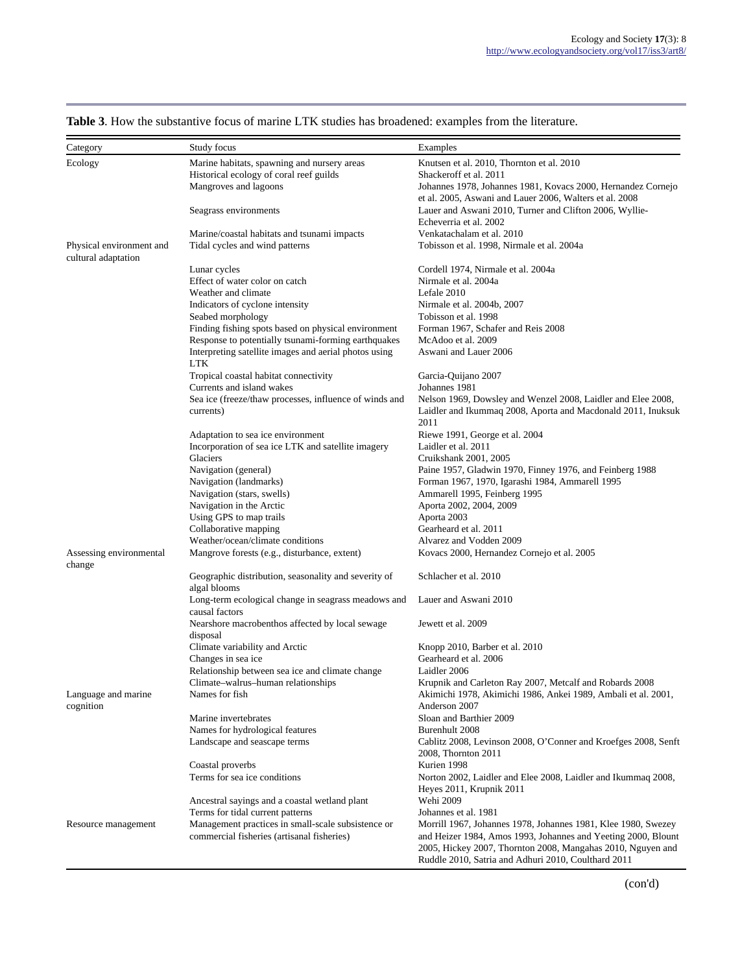| Category                                        | Study focus                                                                                      | Examples                                                                                                                                                                                                                                             |
|-------------------------------------------------|--------------------------------------------------------------------------------------------------|------------------------------------------------------------------------------------------------------------------------------------------------------------------------------------------------------------------------------------------------------|
| Ecology                                         | Marine habitats, spawning and nursery areas                                                      | Knutsen et al. 2010, Thornton et al. 2010                                                                                                                                                                                                            |
|                                                 | Historical ecology of coral reef guilds                                                          | Shackeroff et al. 2011                                                                                                                                                                                                                               |
|                                                 | Mangroves and lagoons                                                                            | Johannes 1978, Johannes 1981, Kovacs 2000, Hernandez Cornejo                                                                                                                                                                                         |
|                                                 | Seagrass environments                                                                            | et al. 2005, Aswani and Lauer 2006, Walters et al. 2008<br>Lauer and Aswani 2010, Turner and Clifton 2006, Wyllie-                                                                                                                                   |
|                                                 | Marine/coastal habitats and tsunami impacts                                                      | Echeverria et al. 2002<br>Venkatachalam et al. 2010                                                                                                                                                                                                  |
| Physical environment and<br>cultural adaptation | Tidal cycles and wind patterns                                                                   | Tobisson et al. 1998, Nirmale et al. 2004a                                                                                                                                                                                                           |
|                                                 | Lunar cycles                                                                                     | Cordell 1974, Nirmale et al. 2004a                                                                                                                                                                                                                   |
|                                                 | Effect of water color on catch                                                                   | Nirmale et al. 2004a                                                                                                                                                                                                                                 |
|                                                 | Weather and climate                                                                              | Lefale 2010                                                                                                                                                                                                                                          |
|                                                 | Indicators of cyclone intensity                                                                  | Nirmale et al. 2004b, 2007                                                                                                                                                                                                                           |
|                                                 | Seabed morphology<br>Finding fishing spots based on physical environment                         | Tobisson et al. 1998<br>Forman 1967, Schafer and Reis 2008                                                                                                                                                                                           |
|                                                 | Response to potentially tsunami-forming earthquakes                                              | McAdoo et al. 2009                                                                                                                                                                                                                                   |
|                                                 | Interpreting satellite images and aerial photos using<br><b>LTK</b>                              | Aswani and Lauer 2006                                                                                                                                                                                                                                |
|                                                 | Tropical coastal habitat connectivity                                                            | Garcia-Quijano 2007                                                                                                                                                                                                                                  |
|                                                 | Currents and island wakes                                                                        | Johannes 1981                                                                                                                                                                                                                                        |
|                                                 | Sea ice (freeze/thaw processes, influence of winds and<br>currents)                              | Nelson 1969, Dowsley and Wenzel 2008, Laidler and Elee 2008,<br>Laidler and Ikummaq 2008, Aporta and Macdonald 2011, Inuksuk<br>2011                                                                                                                 |
|                                                 | Adaptation to sea ice environment                                                                | Riewe 1991, George et al. 2004                                                                                                                                                                                                                       |
|                                                 | Incorporation of sea ice LTK and satellite imagery                                               | Laidler et al. 2011                                                                                                                                                                                                                                  |
|                                                 | Glaciers                                                                                         | Cruikshank 2001, 2005                                                                                                                                                                                                                                |
|                                                 | Navigation (general)                                                                             | Paine 1957, Gladwin 1970, Finney 1976, and Feinberg 1988                                                                                                                                                                                             |
|                                                 | Navigation (landmarks)<br>Navigation (stars, swells)                                             | Forman 1967, 1970, Igarashi 1984, Ammarell 1995<br>Ammarell 1995, Feinberg 1995                                                                                                                                                                      |
|                                                 | Navigation in the Arctic                                                                         | Aporta 2002, 2004, 2009                                                                                                                                                                                                                              |
|                                                 | Using GPS to map trails                                                                          | Aporta 2003                                                                                                                                                                                                                                          |
|                                                 | Collaborative mapping                                                                            | Gearheard et al. 2011                                                                                                                                                                                                                                |
|                                                 | Weather/ocean/climate conditions                                                                 | Alvarez and Vodden 2009                                                                                                                                                                                                                              |
| Assessing environmental<br>change               | Mangrove forests (e.g., disturbance, extent)                                                     | Kovacs 2000, Hernandez Cornejo et al. 2005                                                                                                                                                                                                           |
|                                                 | Geographic distribution, seasonality and severity of<br>algal blooms                             | Schlacher et al. 2010                                                                                                                                                                                                                                |
|                                                 | Long-term ecological change in seagrass meadows and<br>causal factors                            | Lauer and Aswani 2010                                                                                                                                                                                                                                |
|                                                 | Nearshore macrobenthos affected by local sewage<br>disposal                                      | Jewett et al. 2009                                                                                                                                                                                                                                   |
|                                                 | Climate variability and Arctic                                                                   | Knopp 2010, Barber et al. 2010                                                                                                                                                                                                                       |
|                                                 | Changes in sea ice                                                                               | Gearheard et al. 2006                                                                                                                                                                                                                                |
|                                                 | Relationship between sea ice and climate change                                                  | Laidler 2006                                                                                                                                                                                                                                         |
|                                                 | Climate–walrus–human relationships                                                               | Krupnik and Carleton Ray 2007, Metcalf and Robards 2008                                                                                                                                                                                              |
| Language and marine<br>cognition                | Names for fish                                                                                   | Akimichi 1978, Akimichi 1986, Ankei 1989, Ambali et al. 2001,<br>Anderson 2007                                                                                                                                                                       |
|                                                 | Marine invertebrates<br>Names for hydrological features                                          | Sloan and Barthier 2009                                                                                                                                                                                                                              |
|                                                 | Landscape and seascape terms                                                                     | Burenhult 2008<br>Cablitz 2008, Levinson 2008, O'Conner and Kroefges 2008, Senft                                                                                                                                                                     |
|                                                 |                                                                                                  | 2008, Thornton 2011                                                                                                                                                                                                                                  |
|                                                 | Coastal proverbs                                                                                 | Kurien 1998                                                                                                                                                                                                                                          |
|                                                 | Terms for sea ice conditions                                                                     | Norton 2002, Laidler and Elee 2008, Laidler and Ikummaq 2008,                                                                                                                                                                                        |
|                                                 |                                                                                                  | Heyes 2011, Krupnik 2011                                                                                                                                                                                                                             |
|                                                 | Ancestral sayings and a coastal wetland plant                                                    | Wehi 2009                                                                                                                                                                                                                                            |
|                                                 | Terms for tidal current patterns                                                                 | Johannes et al. 1981                                                                                                                                                                                                                                 |
| Resource management                             | Management practices in small-scale subsistence or<br>commercial fisheries (artisanal fisheries) | Morrill 1967, Johannes 1978, Johannes 1981, Klee 1980, Swezey<br>and Heizer 1984, Amos 1993, Johannes and Yeeting 2000, Blount<br>2005, Hickey 2007, Thornton 2008, Mangahas 2010, Nguyen and<br>Ruddle 2010, Satria and Adhuri 2010, Coulthard 2011 |

## **Table 3**. How the substantive focus of marine LTK studies has broadened: examples from the literature.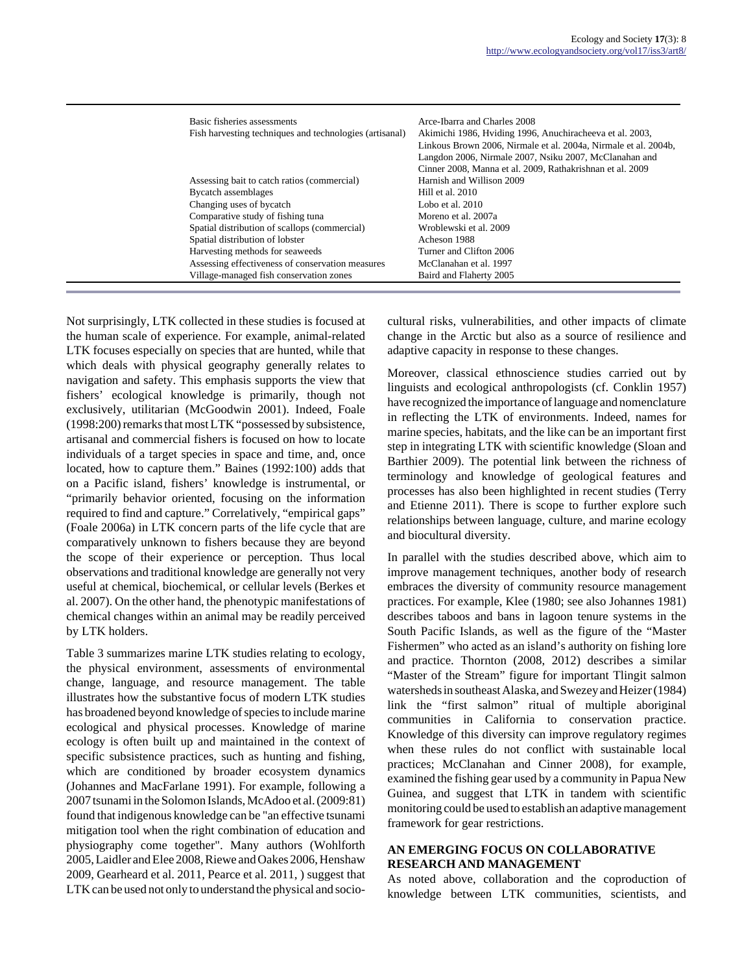|                          | Fish harvesting techniques and technologies (artisanal) |                                                                 |
|--------------------------|---------------------------------------------------------|-----------------------------------------------------------------|
|                          |                                                         | Akimichi 1986, Hviding 1996, Anuchiracheeva et al. 2003,        |
|                          |                                                         | Linkous Brown 2006, Nirmale et al. 2004a, Nirmale et al. 2004b, |
|                          |                                                         | Langdon 2006, Nirmale 2007, Nsiku 2007, McClanahan and          |
|                          |                                                         | Cinner 2008, Manna et al. 2009, Rathakrishnan et al. 2009       |
|                          | Assessing bait to catch ratios (commercial)             | Harnish and Willison 2009                                       |
| Bycatch assemblages      |                                                         | Hill et al. 2010                                                |
| Changing uses of bycatch |                                                         | Lobo et al. 2010                                                |
|                          | Comparative study of fishing tuna                       | Moreno et al. 2007a                                             |
|                          | Spatial distribution of scallops (commercial)           | Wroblewski et al. 2009                                          |
|                          | Spatial distribution of lobster                         | Acheson 1988                                                    |
|                          | Harvesting methods for seaweeds                         | Turner and Clifton 2006                                         |
|                          | Assessing effectiveness of conservation measures        | McClanahan et al. 1997                                          |
|                          | Village-managed fish conservation zones                 | Baird and Flaherty 2005                                         |

Not surprisingly, LTK collected in these studies is focused at the human scale of experience. For example, animal-related LTK focuses especially on species that are hunted, while that which deals with physical geography generally relates to navigation and safety. This emphasis supports the view that fishers' ecological knowledge is primarily, though not exclusively, utilitarian (McGoodwin 2001). Indeed, Foale (1998:200) remarks that most LTK "possessed by subsistence, artisanal and commercial fishers is focused on how to locate individuals of a target species in space and time, and, once located, how to capture them." Baines (1992:100) adds that on a Pacific island, fishers' knowledge is instrumental, or "primarily behavior oriented, focusing on the information required to find and capture." Correlatively, "empirical gaps" (Foale 2006a) in LTK concern parts of the life cycle that are comparatively unknown to fishers because they are beyond the scope of their experience or perception. Thus local observations and traditional knowledge are generally not very useful at chemical, biochemical, or cellular levels (Berkes et al. 2007). On the other hand, the phenotypic manifestations of chemical changes within an animal may be readily perceived by LTK holders.

Table 3 summarizes marine LTK studies relating to ecology, the physical environment, assessments of environmental change, language, and resource management. The table illustrates how the substantive focus of modern LTK studies has broadened beyond knowledge of species to include marine ecological and physical processes. Knowledge of marine ecology is often built up and maintained in the context of specific subsistence practices, such as hunting and fishing, which are conditioned by broader ecosystem dynamics (Johannes and MacFarlane 1991). For example, following a 2007 tsunami in the Solomon Islands, McAdoo et al. (2009:81) found that indigenous knowledge can be "an effective tsunami mitigation tool when the right combination of education and physiography come together". Many authors (Wohlforth 2005, Laidler and Elee 2008, Riewe and Oakes 2006, Henshaw 2009, Gearheard et al. 2011, Pearce et al. 2011, ) suggest that LTK can be used not only to understand the physical and sociocultural risks, vulnerabilities, and other impacts of climate change in the Arctic but also as a source of resilience and adaptive capacity in response to these changes.

Moreover, classical ethnoscience studies carried out by linguists and ecological anthropologists (cf. Conklin 1957) have recognized the importance of language and nomenclature in reflecting the LTK of environments. Indeed, names for marine species, habitats, and the like can be an important first step in integrating LTK with scientific knowledge (Sloan and Barthier 2009). The potential link between the richness of terminology and knowledge of geological features and processes has also been highlighted in recent studies (Terry and Etienne 2011). There is scope to further explore such relationships between language, culture, and marine ecology and biocultural diversity.

In parallel with the studies described above, which aim to improve management techniques, another body of research embraces the diversity of community resource management practices. For example, Klee (1980; see also Johannes 1981) describes taboos and bans in lagoon tenure systems in the South Pacific Islands, as well as the figure of the "Master Fishermen" who acted as an island's authority on fishing lore and practice. Thornton (2008, 2012) describes a similar "Master of the Stream" figure for important Tlingit salmon watersheds in southeast Alaska, and Swezey and Heizer (1984) link the "first salmon" ritual of multiple aboriginal communities in California to conservation practice. Knowledge of this diversity can improve regulatory regimes when these rules do not conflict with sustainable local practices; McClanahan and Cinner 2008), for example, examined the fishing gear used by a community in Papua New Guinea, and suggest that LTK in tandem with scientific monitoring could be used to establish an adaptive management framework for gear restrictions.

## **AN EMERGING FOCUS ON COLLABORATIVE RESEARCH AND MANAGEMENT**

As noted above, collaboration and the coproduction of knowledge between LTK communities, scientists, and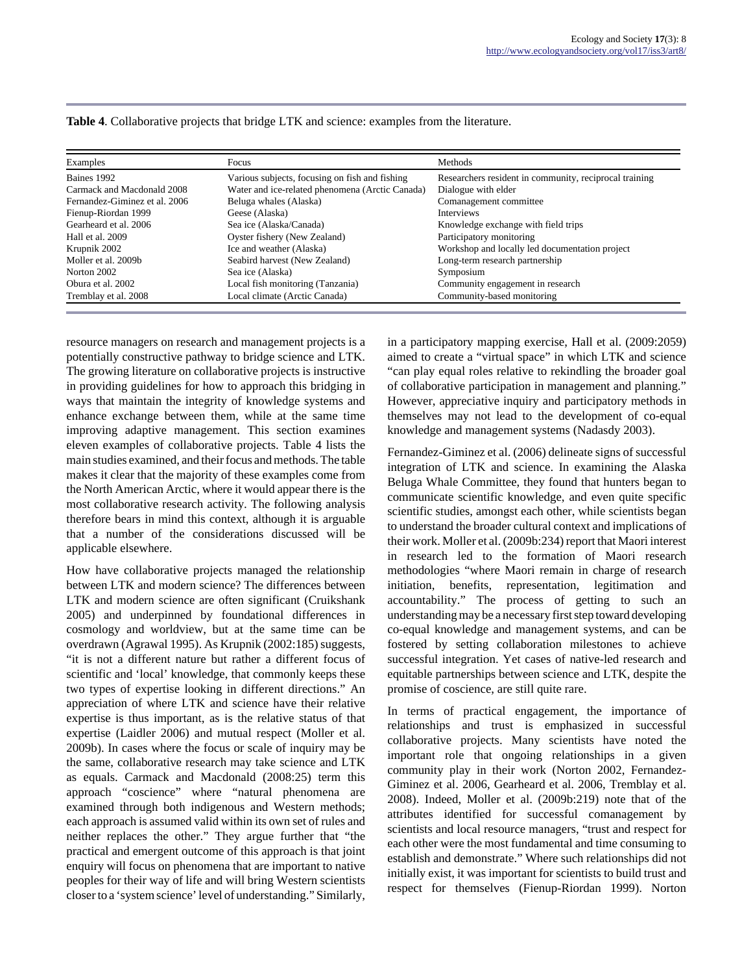| Examples                      | Focus                                           | Methods                                                |
|-------------------------------|-------------------------------------------------|--------------------------------------------------------|
| Baines 1992                   | Various subjects, focusing on fish and fishing  | Researchers resident in community, reciprocal training |
| Carmack and Macdonald 2008    | Water and ice-related phenomena (Arctic Canada) | Dialogue with elder                                    |
| Fernandez-Giminez et al. 2006 | Beluga whales (Alaska)                          | Comanagement committee                                 |
| Fienup-Riordan 1999           | Geese (Alaska)                                  | <b>Interviews</b>                                      |
| Gearheard et al. 2006         | Sea ice (Alaska/Canada)                         | Knowledge exchange with field trips                    |
| Hall et al. 2009              | Oyster fishery (New Zealand)                    | Participatory monitoring                               |
| Krupnik 2002                  | Ice and weather (Alaska)                        | Workshop and locally led documentation project         |
| Moller et al. 2009b           | Seabird harvest (New Zealand)                   | Long-term research partnership                         |
| Norton 2002                   | Sea ice (Alaska)                                | Symposium                                              |
| Obura et al. 2002             | Local fish monitoring (Tanzania)                | Community engagement in research                       |
| Tremblay et al. 2008          | Local climate (Arctic Canada)                   | Community-based monitoring                             |

**Table 4**. Collaborative projects that bridge LTK and science: examples from the literature.

resource managers on research and management projects is a potentially constructive pathway to bridge science and LTK. The growing literature on collaborative projects is instructive in providing guidelines for how to approach this bridging in ways that maintain the integrity of knowledge systems and enhance exchange between them, while at the same time improving adaptive management. This section examines eleven examples of collaborative projects. Table 4 lists the main studies examined, and their focus and methods. The table makes it clear that the majority of these examples come from the North American Arctic, where it would appear there is the most collaborative research activity. The following analysis therefore bears in mind this context, although it is arguable that a number of the considerations discussed will be applicable elsewhere.

How have collaborative projects managed the relationship between LTK and modern science? The differences between LTK and modern science are often significant (Cruikshank 2005) and underpinned by foundational differences in cosmology and worldview, but at the same time can be overdrawn (Agrawal 1995). As Krupnik (2002:185) suggests, "it is not a different nature but rather a different focus of scientific and 'local' knowledge, that commonly keeps these two types of expertise looking in different directions." An appreciation of where LTK and science have their relative expertise is thus important, as is the relative status of that expertise (Laidler 2006) and mutual respect (Moller et al. 2009b). In cases where the focus or scale of inquiry may be the same, collaborative research may take science and LTK as equals. Carmack and Macdonald (2008:25) term this approach "coscience" where "natural phenomena are examined through both indigenous and Western methods; each approach is assumed valid within its own set of rules and neither replaces the other." They argue further that "the practical and emergent outcome of this approach is that joint enquiry will focus on phenomena that are important to native peoples for their way of life and will bring Western scientists closer to a 'system science' level of understanding." Similarly,

in a participatory mapping exercise, Hall et al. (2009:2059) aimed to create a "virtual space" in which LTK and science "can play equal roles relative to rekindling the broader goal of collaborative participation in management and planning." However, appreciative inquiry and participatory methods in themselves may not lead to the development of co-equal knowledge and management systems (Nadasdy 2003).

Fernandez-Giminez et al. (2006) delineate signs of successful integration of LTK and science. In examining the Alaska Beluga Whale Committee, they found that hunters began to communicate scientific knowledge, and even quite specific scientific studies, amongst each other, while scientists began to understand the broader cultural context and implications of their work. Moller et al. (2009b:234) report that Maori interest in research led to the formation of Maori research methodologies "where Maori remain in charge of research initiation, benefits, representation, legitimation and accountability." The process of getting to such an understanding may be a necessary first step toward developing co-equal knowledge and management systems, and can be fostered by setting collaboration milestones to achieve successful integration. Yet cases of native-led research and equitable partnerships between science and LTK, despite the promise of coscience, are still quite rare.

In terms of practical engagement, the importance of relationships and trust is emphasized in successful collaborative projects. Many scientists have noted the important role that ongoing relationships in a given community play in their work (Norton 2002, Fernandez-Giminez et al. 2006, Gearheard et al. 2006, Tremblay et al. 2008). Indeed, Moller et al. (2009b:219) note that of the attributes identified for successful comanagement by scientists and local resource managers, "trust and respect for each other were the most fundamental and time consuming to establish and demonstrate." Where such relationships did not initially exist, it was important for scientists to build trust and respect for themselves (Fienup-Riordan 1999). Norton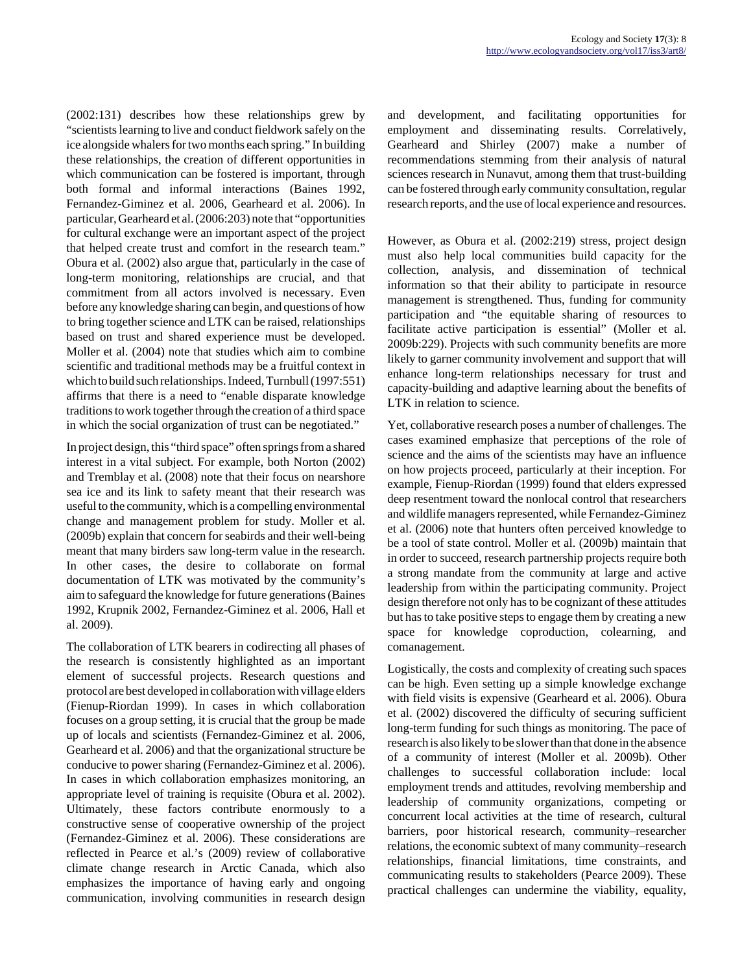(2002:131) describes how these relationships grew by "scientists learning to live and conduct fieldwork safely on the ice alongside whalers for two months each spring." In building these relationships, the creation of different opportunities in which communication can be fostered is important, through both formal and informal interactions (Baines 1992, Fernandez-Giminez et al. 2006, Gearheard et al. 2006). In particular, Gearheard et al. (2006:203) note that "opportunities for cultural exchange were an important aspect of the project that helped create trust and comfort in the research team." Obura et al. (2002) also argue that, particularly in the case of long-term monitoring, relationships are crucial, and that commitment from all actors involved is necessary. Even before any knowledge sharing can begin, and questions of how to bring together science and LTK can be raised, relationships based on trust and shared experience must be developed. Moller et al. (2004) note that studies which aim to combine scientific and traditional methods may be a fruitful context in which to build such relationships. Indeed, Turnbull (1997:551) affirms that there is a need to "enable disparate knowledge traditions to work together through the creation of a third space in which the social organization of trust can be negotiated."

In project design, this "third space" often springs from a shared interest in a vital subject. For example, both Norton (2002) and Tremblay et al. (2008) note that their focus on nearshore sea ice and its link to safety meant that their research was useful to the community, which is a compelling environmental change and management problem for study. Moller et al. (2009b) explain that concern for seabirds and their well-being meant that many birders saw long-term value in the research. In other cases, the desire to collaborate on formal documentation of LTK was motivated by the community's aim to safeguard the knowledge for future generations (Baines 1992, Krupnik 2002, Fernandez-Giminez et al. 2006, Hall et al. 2009).

The collaboration of LTK bearers in codirecting all phases of the research is consistently highlighted as an important element of successful projects. Research questions and protocol are best developed in collaboration with village elders (Fienup-Riordan 1999). In cases in which collaboration focuses on a group setting, it is crucial that the group be made up of locals and scientists (Fernandez-Giminez et al. 2006, Gearheard et al. 2006) and that the organizational structure be conducive to power sharing (Fernandez-Giminez et al. 2006). In cases in which collaboration emphasizes monitoring, an appropriate level of training is requisite (Obura et al. 2002). Ultimately, these factors contribute enormously to a constructive sense of cooperative ownership of the project (Fernandez-Giminez et al. 2006). These considerations are reflected in Pearce et al.'s (2009) review of collaborative climate change research in Arctic Canada, which also emphasizes the importance of having early and ongoing communication, involving communities in research design and development, and facilitating opportunities for employment and disseminating results. Correlatively, Gearheard and Shirley (2007) make a number of recommendations stemming from their analysis of natural sciences research in Nunavut, among them that trust-building can be fostered through early community consultation, regular research reports, and the use of local experience and resources.

However, as Obura et al. (2002:219) stress, project design must also help local communities build capacity for the collection, analysis, and dissemination of technical information so that their ability to participate in resource management is strengthened. Thus, funding for community participation and "the equitable sharing of resources to facilitate active participation is essential" (Moller et al. 2009b:229). Projects with such community benefits are more likely to garner community involvement and support that will enhance long-term relationships necessary for trust and capacity-building and adaptive learning about the benefits of LTK in relation to science.

Yet, collaborative research poses a number of challenges. The cases examined emphasize that perceptions of the role of science and the aims of the scientists may have an influence on how projects proceed, particularly at their inception. For example, Fienup-Riordan (1999) found that elders expressed deep resentment toward the nonlocal control that researchers and wildlife managers represented, while Fernandez-Giminez et al. (2006) note that hunters often perceived knowledge to be a tool of state control. Moller et al. (2009b) maintain that in order to succeed, research partnership projects require both a strong mandate from the community at large and active leadership from within the participating community. Project design therefore not only has to be cognizant of these attitudes but has to take positive steps to engage them by creating a new space for knowledge coproduction, colearning, and comanagement.

Logistically, the costs and complexity of creating such spaces can be high. Even setting up a simple knowledge exchange with field visits is expensive (Gearheard et al. 2006). Obura et al. (2002) discovered the difficulty of securing sufficient long-term funding for such things as monitoring. The pace of research is also likely to be slower than that done in the absence of a community of interest (Moller et al. 2009b). Other challenges to successful collaboration include: local employment trends and attitudes, revolving membership and leadership of community organizations, competing or concurrent local activities at the time of research, cultural barriers, poor historical research, community–researcher relations, the economic subtext of many community–research relationships, financial limitations, time constraints, and communicating results to stakeholders (Pearce 2009). These practical challenges can undermine the viability, equality,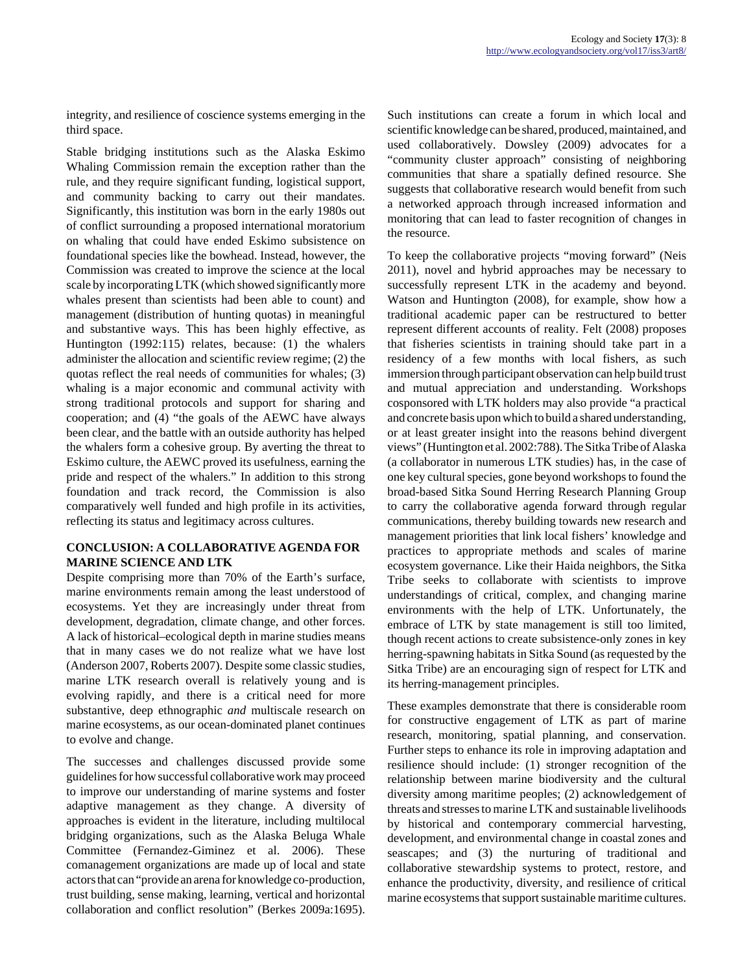integrity, and resilience of coscience systems emerging in the third space.

Stable bridging institutions such as the Alaska Eskimo Whaling Commission remain the exception rather than the rule, and they require significant funding, logistical support, and community backing to carry out their mandates. Significantly, this institution was born in the early 1980s out of conflict surrounding a proposed international moratorium on whaling that could have ended Eskimo subsistence on foundational species like the bowhead. Instead, however, the Commission was created to improve the science at the local scale by incorporating LTK (which showed significantly more whales present than scientists had been able to count) and management (distribution of hunting quotas) in meaningful and substantive ways. This has been highly effective, as Huntington (1992:115) relates, because: (1) the whalers administer the allocation and scientific review regime; (2) the quotas reflect the real needs of communities for whales; (3) whaling is a major economic and communal activity with strong traditional protocols and support for sharing and cooperation; and (4) "the goals of the AEWC have always been clear, and the battle with an outside authority has helped the whalers form a cohesive group. By averting the threat to Eskimo culture, the AEWC proved its usefulness, earning the pride and respect of the whalers." In addition to this strong foundation and track record, the Commission is also comparatively well funded and high profile in its activities, reflecting its status and legitimacy across cultures.

## **CONCLUSION: A COLLABORATIVE AGENDA FOR MARINE SCIENCE AND LTK**

Despite comprising more than 70% of the Earth's surface, marine environments remain among the least understood of ecosystems. Yet they are increasingly under threat from development, degradation, climate change, and other forces. A lack of historical–ecological depth in marine studies means that in many cases we do not realize what we have lost (Anderson 2007, Roberts 2007). Despite some classic studies, marine LTK research overall is relatively young and is evolving rapidly, and there is a critical need for more substantive, deep ethnographic *and* multiscale research on marine ecosystems, as our ocean-dominated planet continues to evolve and change.

The successes and challenges discussed provide some guidelines for how successful collaborative work may proceed to improve our understanding of marine systems and foster adaptive management as they change. A diversity of approaches is evident in the literature, including multilocal bridging organizations, such as the Alaska Beluga Whale Committee (Fernandez-Giminez et al. 2006). These comanagement organizations are made up of local and state actors that can "provide an arena for knowledge co-production, trust building, sense making, learning, vertical and horizontal collaboration and conflict resolution" (Berkes 2009a:1695).

Such institutions can create a forum in which local and scientific knowledge can be shared, produced, maintained, and used collaboratively. Dowsley (2009) advocates for a "community cluster approach" consisting of neighboring communities that share a spatially defined resource. She suggests that collaborative research would benefit from such a networked approach through increased information and monitoring that can lead to faster recognition of changes in the resource.

To keep the collaborative projects "moving forward" (Neis 2011), novel and hybrid approaches may be necessary to successfully represent LTK in the academy and beyond. Watson and Huntington (2008), for example, show how a traditional academic paper can be restructured to better represent different accounts of reality. Felt (2008) proposes that fisheries scientists in training should take part in a residency of a few months with local fishers, as such immersion through participant observation can help build trust and mutual appreciation and understanding. Workshops cosponsored with LTK holders may also provide "a practical and concrete basis upon which to build a shared understanding, or at least greater insight into the reasons behind divergent views" (Huntington et al. 2002:788). The Sitka Tribe of Alaska (a collaborator in numerous LTK studies) has, in the case of one key cultural species, gone beyond workshops to found the broad-based Sitka Sound Herring Research Planning Group to carry the collaborative agenda forward through regular communications, thereby building towards new research and management priorities that link local fishers' knowledge and practices to appropriate methods and scales of marine ecosystem governance. Like their Haida neighbors, the Sitka Tribe seeks to collaborate with scientists to improve understandings of critical, complex, and changing marine environments with the help of LTK. Unfortunately, the embrace of LTK by state management is still too limited, though recent actions to create subsistence-only zones in key herring-spawning habitats in Sitka Sound (as requested by the Sitka Tribe) are an encouraging sign of respect for LTK and its herring-management principles.

These examples demonstrate that there is considerable room for constructive engagement of LTK as part of marine research, monitoring, spatial planning, and conservation. Further steps to enhance its role in improving adaptation and resilience should include: (1) stronger recognition of the relationship between marine biodiversity and the cultural diversity among maritime peoples; (2) acknowledgement of threats and stresses to marine LTK and sustainable livelihoods by historical and contemporary commercial harvesting, development, and environmental change in coastal zones and seascapes; and (3) the nurturing of traditional and collaborative stewardship systems to protect, restore, and enhance the productivity, diversity, and resilience of critical marine ecosystems that support sustainable maritime cultures.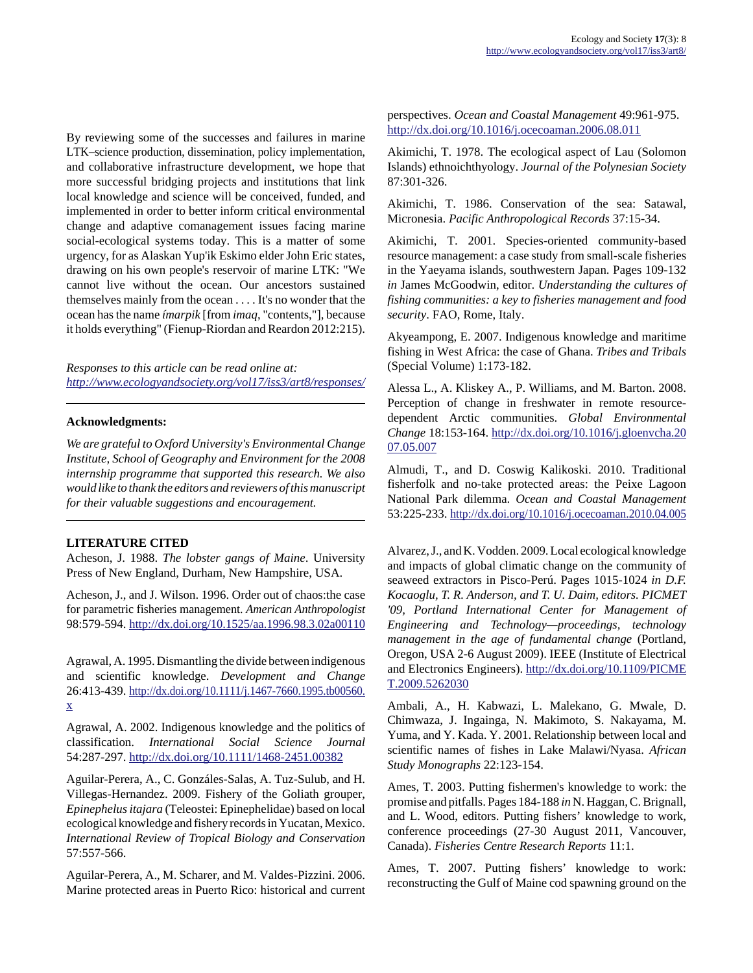By reviewing some of the successes and failures in marine LTK–science production, dissemination, policy implementation, and collaborative infrastructure development, we hope that more successful bridging projects and institutions that link local knowledge and science will be conceived, funded, and implemented in order to better inform critical environmental change and adaptive comanagement issues facing marine social-ecological systems today. This is a matter of some urgency, for as Alaskan Yup'ik Eskimo elder John Eric states, drawing on his own people's reservoir of marine LTK: "We cannot live without the ocean. Our ancestors sustained themselves mainly from the ocean . . . . It's no wonder that the ocean has the name *ímarpik* [from *imaq*, "contents,"], because it holds everything" (Fienup-Riordan and Reardon 2012:215).

*Responses to this article can be read online at: <http://www.ecologyandsociety.org/vol17/iss3/art8/responses/>*

### **Acknowledgments:**

*We are grateful to Oxford University's Environmental Change Institute, School of Geography and Environment for the 2008 internship programme that supported this research. We also would like to thank the editors and reviewers of this manuscript for their valuable suggestions and encouragement.*

## **LITERATURE CITED**

Acheson, J. 1988. *The lobster gangs of Maine*. University Press of New England, Durham, New Hampshire, USA.

Acheson, J., and J. Wilson. 1996. Order out of chaos:the case for parametric fisheries management. *American Anthropologist* 98:579-594.<http://dx.doi.org/10.1525/aa.1996.98.3.02a00110>

Agrawal, A. 1995. Dismantling the divide between indigenous and scientific knowledge. *Development and Change* 26:413-439. [http://dx.doi.org/10.1111/j.1467-7660.1995.tb00560.](http://dx.doi.org/10.1111/j.1467-7660.1995.tb00560.x) [x](http://dx.doi.org/10.1111/j.1467-7660.1995.tb00560.x)

Agrawal, A. 2002. Indigenous knowledge and the politics of classification. *International Social Science Journal* 54:287-297.<http://dx.doi.org/10.1111/1468-2451.00382>

Aguilar-Perera, A., C. Gonzáles-Salas, A. Tuz-Sulub, and H. Villegas-Hernandez. 2009. Fishery of the Goliath grouper, *Epinephelus itajara* (Teleostei: Epinephelidae) based on local ecological knowledge and fishery records in Yucatan, Mexico. *International Review of Tropical Biology and Conservation* 57:557-566.

Aguilar-Perera, A., M. Scharer, and M. Valdes-Pizzini. 2006. Marine protected areas in Puerto Rico: historical and current perspectives. *Ocean and Coastal Management* 49:961-975. <http://dx.doi.org/10.1016/j.ocecoaman.2006.08.011>

Akimichi, T. 1978. The ecological aspect of Lau (Solomon Islands) ethnoichthyology. *Journal of the Polynesian Society* 87:301-326.

Akimichi, T. 1986. Conservation of the sea: Satawal, Micronesia. *Pacific Anthropological Records* 37:15-34.

Akimichi, T. 2001. Species-oriented community-based resource management: a case study from small-scale fisheries in the Yaeyama islands, southwestern Japan. Pages 109-132 *in* James McGoodwin, editor. *Understanding the cultures of fishing communities: a key to fisheries management and food security*. FAO, Rome, Italy.

Akyeampong, E. 2007. Indigenous knowledge and maritime fishing in West Africa: the case of Ghana. *Tribes and Tribals* (Special Volume) 1:173-182.

Alessa L., A. Kliskey A., P. Williams, and M. Barton. 2008. Perception of change in freshwater in remote resourcedependent Arctic communities. *Global Environmental Change* 18:153-164. [http://dx.doi.org/10.1016/j.gloenvcha.20](http://dx.doi.org/10.1016/j.gloenvcha.2007.05.007) [07.05.007](http://dx.doi.org/10.1016/j.gloenvcha.2007.05.007)

Almudi, T., and D. Coswig Kalikoski. 2010. Traditional fisherfolk and no-take protected areas: the Peixe Lagoon National Park dilemma. *Ocean and Coastal Management* 53:225-233.<http://dx.doi.org/10.1016/j.ocecoaman.2010.04.005>

Alvarez, J., and K. Vodden. 2009. Local ecological knowledge and impacts of global climatic change on the community of seaweed extractors in Pisco-Perú. Pages 1015-1024 *in D.F. Kocaoglu, T. R. Anderson, and T. U. Daim, editors. PICMET '09, Portland International Center for Management of Engineering and Technology—proceedings, technology management in the age of fundamental change* (Portland, Oregon, USA 2-6 August 2009). IEEE (Institute of Electrical and Electronics Engineers). [http://dx.doi.org/10.1109/PICME](http://dx.doi.org/10.1109/PICMET.2009.5262030) [T.2009.5262030](http://dx.doi.org/10.1109/PICMET.2009.5262030)

Ambali, A., H. Kabwazi, L. Malekano, G. Mwale, D. Chimwaza, J. Ingainga, N. Makimoto, S. Nakayama, M. Yuma, and Y. Kada. Y. 2001. Relationship between local and scientific names of fishes in Lake Malawi/Nyasa. *African Study Monographs* 22:123-154.

Ames, T. 2003. Putting fishermen's knowledge to work: the promise and pitfalls. Pages 184-188 *in* N. Haggan, C. Brignall, and L. Wood, editors. Putting fishers' knowledge to work, conference proceedings (27-30 August 2011, Vancouver, Canada). *Fisheries Centre Research Reports* 11:1.

Ames, T. 2007. Putting fishers' knowledge to work: reconstructing the Gulf of Maine cod spawning ground on the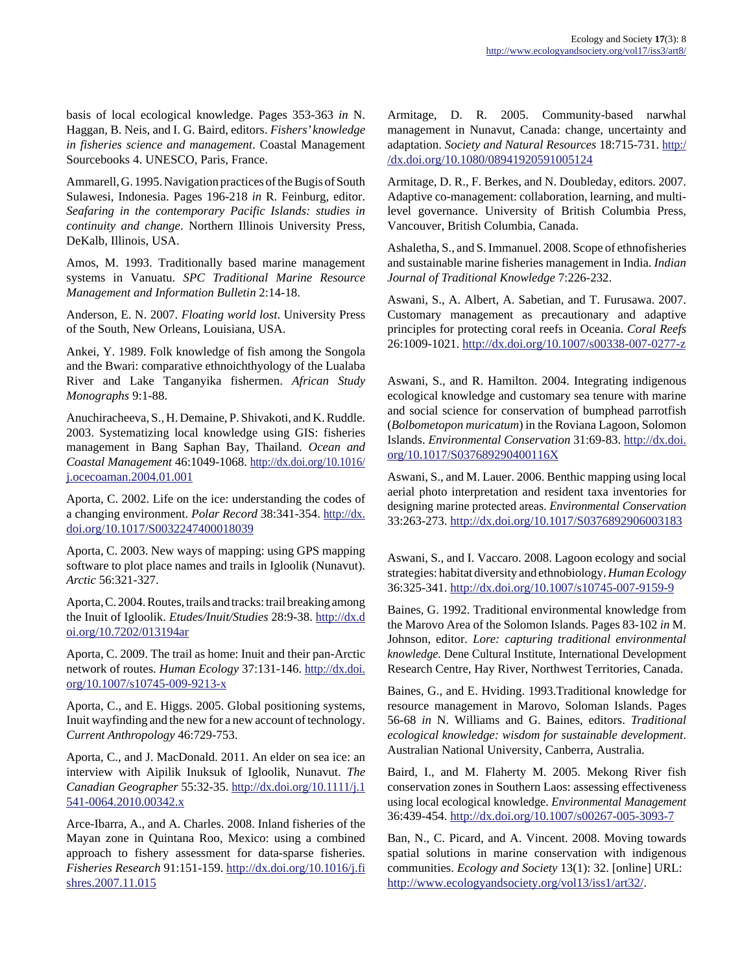basis of local ecological knowledge. Pages 353-363 *in* N. Haggan, B. Neis, and I. G. Baird, editors. *Fishers' knowledge in fisheries science and management*. Coastal Management Sourcebooks 4. UNESCO, Paris, France.

Ammarell, G. 1995. Navigation practices of the Bugis of South Sulawesi, Indonesia. Pages 196-218 *in* R. Feinburg, editor. *Seafaring in the contemporary Pacific Islands: studies in continuity and change*. Northern Illinois University Press, DeKalb, Illinois, USA.

Amos, M. 1993. Traditionally based marine management systems in Vanuatu. *SPC Traditional Marine Resource Management and Information Bulletin* 2:14-18.

Anderson, E. N. 2007. *Floating world lost*. University Press of the South, New Orleans, Louisiana, USA.

Ankei, Y. 1989. Folk knowledge of fish among the Songola and the Bwari: comparative ethnoichthyology of the Lualaba River and Lake Tanganyika fishermen. *African Study Monographs* 9:1-88.

Anuchiracheeva, S., H. Demaine, P. Shivakoti, and K. Ruddle. 2003. Systematizing local knowledge using GIS: fisheries management in Bang Saphan Bay, Thailand. *Ocean and Coastal Management* 46:1049-1068. [http://dx.doi.org/10.1016/](http://dx.doi.org/10.1016/j.ocecoaman.2004.01.001) [j.ocecoaman.2004.01.001](http://dx.doi.org/10.1016/j.ocecoaman.2004.01.001) 

Aporta, C. 2002. Life on the ice: understanding the codes of a changing environment. *Polar Record* 38:341-354. [http://dx.](http://dx.doi.org/10.1017/S0032247400018039) [doi.org/10.1017/S0032247400018039](http://dx.doi.org/10.1017/S0032247400018039)

Aporta, C. 2003. New ways of mapping: using GPS mapping software to plot place names and trails in Igloolik (Nunavut). *Arctic* 56:321-327.

Aporta, C. 2004. Routes, trails and tracks: trail breaking among the Inuit of Igloolik. *Etudes/Inuit/Studies* 28:9-38. [http://dx.d](http://dx.doi.org/10.7202/013194ar) [oi.org/10.7202/013194ar](http://dx.doi.org/10.7202/013194ar)

Aporta, C. 2009. The trail as home: Inuit and their pan-Arctic network of routes. *Human Ecology* 37:131-146. [http://dx.doi.](http://dx.doi.org/10.1007/s10745-009-9213-x) [org/10.1007/s10745-009-9213-x](http://dx.doi.org/10.1007/s10745-009-9213-x)

Aporta, C., and E. Higgs. 2005. Global positioning systems, Inuit wayfinding and the new for a new account of technology. *Current Anthropology* 46:729-753.

Aporta, C., and J. MacDonald. 2011. An elder on sea ice: an interview with Aipilik Inuksuk of Igloolik, Nunavut. *The Canadian Geographer* 55:32-35. [http://dx.doi.org/10.1111/j.1](http://dx.doi.org/10.1111/j.1541-0064.2010.00342.x) [541-0064.2010.00342.x](http://dx.doi.org/10.1111/j.1541-0064.2010.00342.x)

Arce-Ibarra, A., and A. Charles. 2008. Inland fisheries of the Mayan zone in Quintana Roo, Mexico: using a combined approach to fishery assessment for data-sparse fisheries. *Fisheries Research* 91:151-159. [http://dx.doi.org/10.1016/j.fi](http://dx.doi.org/10.1016/j.fishres.2007.11.015) [shres.2007.11.015](http://dx.doi.org/10.1016/j.fishres.2007.11.015)

Armitage, D. R. 2005. Community-based narwhal management in Nunavut, Canada: change, uncertainty and adaptation. *Society and Natural Resources* 18:715-731. [http:/](http://dx.doi.org/10.1080/08941920591005124) [/dx.doi.org/10.1080/08941920591005124](http://dx.doi.org/10.1080/08941920591005124) 

Armitage, D. R., F. Berkes, and N. Doubleday, editors. 2007. Adaptive co-management: collaboration, learning, and multilevel governance. University of British Columbia Press, Vancouver, British Columbia, Canada.

Ashaletha, S., and S. Immanuel. 2008. Scope of ethnofisheries and sustainable marine fisheries management in India. *Indian Journal of Traditional Knowledge* 7:226-232.

Aswani, S., A. Albert, A. Sabetian, and T. Furusawa. 2007. Customary management as precautionary and adaptive principles for protecting coral reefs in Oceania. *Coral Reefs* 26:1009-1021.<http://dx.doi.org/10.1007/s00338-007-0277-z>

Aswani, S., and R. Hamilton. 2004. Integrating indigenous ecological knowledge and customary sea tenure with marine and social science for conservation of bumphead parrotfish (*Bolbometopon muricatum*) in the Roviana Lagoon, Solomon Islands. *Environmental Conservation* 31:69-83. [http://dx.doi.](http://dx.doi.org/10.1017/S037689290400116X) [org/10.1017/S037689290400116X](http://dx.doi.org/10.1017/S037689290400116X)

Aswani, S., and M. Lauer. 2006. Benthic mapping using local aerial photo interpretation and resident taxa inventories for designing marine protected areas. *Environmental Conservation* 33:263-273.<http://dx.doi.org/10.1017/S0376892906003183>

Aswani, S., and I. Vaccaro. 2008. Lagoon ecology and social strategies: habitat diversity and ethnobiology. *Human Ecology* 36:325-341.<http://dx.doi.org/10.1007/s10745-007-9159-9>

Baines, G. 1992. Traditional environmental knowledge from the Marovo Area of the Solomon Islands. Pages 83-102 *in* M. Johnson, editor. *Lore: capturing traditional environmental knowledge.* Dene Cultural Institute, International Development Research Centre, Hay River, Northwest Territories, Canada.

Baines, G., and E. Hviding. 1993.Traditional knowledge for resource management in Marovo, Soloman Islands. Pages 56-68 *in* N. Williams and G. Baines, editors. *Traditional ecological knowledge: wisdom for sustainable development*. Australian National University, Canberra, Australia.

Baird, I., and M. Flaherty M. 2005. Mekong River fish conservation zones in Southern Laos: assessing effectiveness using local ecological knowledge. *Environmental Management* 36:439-454.<http://dx.doi.org/10.1007/s00267-005-3093-7>

Ban, N., C. Picard, and A. Vincent. 2008. Moving towards spatial solutions in marine conservation with indigenous communities. *Ecology and Society* 13(1): 32. [online] URL: <http://www.ecologyandsociety.org/vol13/iss1/art32/>.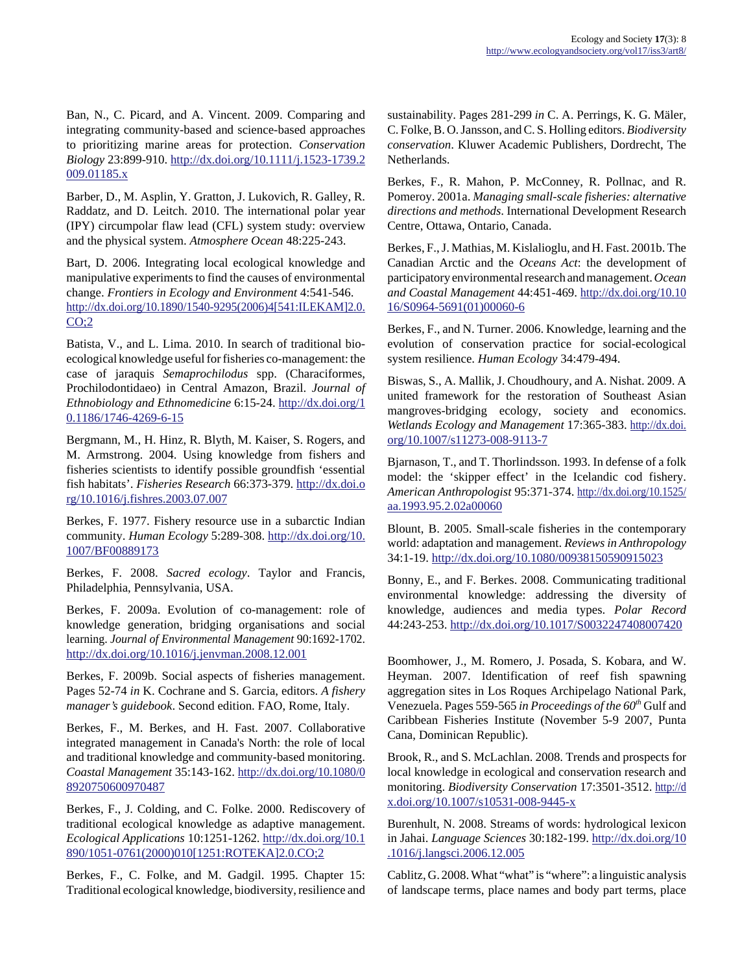Ban, N., C. Picard, and A. Vincent. 2009. Comparing and integrating community-based and science-based approaches to prioritizing marine areas for protection. *Conservation Biology* 23:899-910. [http://dx.doi.org/10.1111/j.1523-1739.2](http://dx.doi.org/10.1111/j.1523-1739.2009.01185.x) [009.01185.x](http://dx.doi.org/10.1111/j.1523-1739.2009.01185.x)

Barber, D., M. Asplin, Y. Gratton, J. Lukovich, R. Galley, R. Raddatz, and D. Leitch. 2010. The international polar year (IPY) circumpolar flaw lead (CFL) system study: overview and the physical system. *Atmosphere Ocean* 48:225-243.

Bart, D. 2006. Integrating local ecological knowledge and manipulative experiments to find the causes of environmental change. *Frontiers in Ecology and Environment* 4:541-546. [http://dx.doi.org/10.1890/1540-9295\(2006\)4\[541:ILEKAM\]2.0.](http://dx.doi.org/10.1890/1540-9295(2006)4[541:ILEKAM]2.0.CO;2) [CO;2](http://dx.doi.org/10.1890/1540-9295(2006)4[541:ILEKAM]2.0.CO;2) 

Batista, V., and L. Lima. 2010. In search of traditional bioecological knowledge useful for fisheries co-management: the case of jaraquis *Semaprochilodus* spp. (Characiformes, Prochilodontidaeo) in Central Amazon, Brazil. *Journal of Ethnobiology and Ethnomedicine* 6:15-24. [http://dx.doi.org/1](http://dx.doi.org/10.1186/1746-4269-6-15) [0.1186/1746-4269-6-15](http://dx.doi.org/10.1186/1746-4269-6-15)

Bergmann, M., H. Hinz, R. Blyth, M. Kaiser, S. Rogers, and M. Armstrong. 2004. Using knowledge from fishers and fisheries scientists to identify possible groundfish 'essential fish habitats'. *Fisheries Research* 66:373-379. [http://dx.doi.o](http://dx.doi.org/10.1016/j.fishres.2003.07.007) [rg/10.1016/j.fishres.2003.07.007](http://dx.doi.org/10.1016/j.fishres.2003.07.007) 

Berkes, F. 1977. Fishery resource use in a subarctic Indian community. *Human Ecology* 5:289-308. [http://dx.doi.org/10.](http://dx.doi.org/10.1007/BF00889173) [1007/BF00889173](http://dx.doi.org/10.1007/BF00889173)

Berkes, F. 2008. *Sacred ecology*. Taylor and Francis, Philadelphia, Pennsylvania, USA.

Berkes, F. 2009a. Evolution of co-management: role of knowledge generation, bridging organisations and social learning. *Journal of Environmental Management* 90:1692-1702. <http://dx.doi.org/10.1016/j.jenvman.2008.12.001>

Berkes, F. 2009b. Social aspects of fisheries management. Pages 52-74 *in* K. Cochrane and S. Garcia, editors. *A fishery manager's guidebook*. Second edition. FAO, Rome, Italy.

Berkes, F., M. Berkes, and H. Fast. 2007. Collaborative integrated management in Canada's North: the role of local and traditional knowledge and community-based monitoring. *Coastal Management* 35:143-162. [http://dx.doi.org/10.1080/0](http://dx.doi.org/10.1080/08920750600970487) [8920750600970487](http://dx.doi.org/10.1080/08920750600970487)

Berkes, F., J. Colding, and C. Folke. 2000. Rediscovery of traditional ecological knowledge as adaptive management. *Ecological Applications* 10:1251-1262. [http://dx.doi.org/10.1](http://dx.doi.org/10.1890/1051-0761(2000)010[1251:ROTEKA]2.0.CO;2) [890/1051-0761\(2000\)010\[1251:ROTEKA\]2.0.CO;2](http://dx.doi.org/10.1890/1051-0761(2000)010[1251:ROTEKA]2.0.CO;2)

Berkes, F., C. Folke, and M. Gadgil. 1995. Chapter 15: Traditional ecological knowledge, biodiversity, resilience and sustainability. Pages 281-299 *in* C. A. Perrings, K. G. Mäler, C. Folke, B. O. Jansson, and C. S. Holling editors. *Biodiversity conservation*. Kluwer Academic Publishers, Dordrecht, The Netherlands.

Berkes, F., R. Mahon, P. McConney, R. Pollnac, and R. Pomeroy. 2001a. *Managing small-scale fisheries: alternative directions and methods*. International Development Research Centre, Ottawa, Ontario, Canada.

Berkes, F., J. Mathias, M. Kislalioglu, and H. Fast. 2001b. The Canadian Arctic and the *Oceans Act*: the development of participatory environmental research and management. *Ocean and Coastal Management* 44:451-469. [http://dx.doi.org/10.10](http://dx.doi.org/10.1016/S0964-5691(01)00060-6) [16/S0964-5691\(01\)00060-6](http://dx.doi.org/10.1016/S0964-5691(01)00060-6)

Berkes, F., and N. Turner. 2006. Knowledge, learning and the evolution of conservation practice for social-ecological system resilience. *Human Ecology* 34:479-494.

Biswas, S., A. Mallik, J. Choudhoury, and A. Nishat. 2009. A united framework for the restoration of Southeast Asian mangroves-bridging ecology, society and economics. *Wetlands Ecology and Management* 17:365-383. [http://dx.doi.](http://dx.doi.org/10.1007/s11273-008-9113-7) [org/10.1007/s11273-008-9113-7](http://dx.doi.org/10.1007/s11273-008-9113-7)

Bjarnason, T., and T. Thorlindsson. 1993. In defense of a folk model: the 'skipper effect' in the Icelandic cod fishery. *American Anthropologist* 95:371-374. [http://dx.doi.org/10.1525/](http://dx.doi.org/10.1525/aa.1993.95.2.02a00060) [aa.1993.95.2.02a00060](http://dx.doi.org/10.1525/aa.1993.95.2.02a00060)

Blount, B. 2005. Small-scale fisheries in the contemporary world: adaptation and management. *Reviews in Anthropology* 34:1-19.<http://dx.doi.org/10.1080/00938150590915023>

Bonny, E., and F. Berkes. 2008. Communicating traditional environmental knowledge: addressing the diversity of knowledge, audiences and media types. *Polar Record* 44:243-253.<http://dx.doi.org/10.1017/S0032247408007420>

Boomhower, J., M. Romero, J. Posada, S. Kobara, and W. Heyman. 2007. Identification of reef fish spawning aggregation sites in Los Roques Archipelago National Park, Venezuela. Pages 559-565 *in Proceedings of the 60th* Gulf and Caribbean Fisheries Institute (November 5-9 2007, Punta Cana, Dominican Republic).

Brook, R., and S. McLachlan. 2008. Trends and prospects for local knowledge in ecological and conservation research and monitoring. *Biodiversity Conservation* 17:3501-3512. [http://d](http://dx.doi.org/10.1007/s10531-008-9445-x) [x.doi.org/10.1007/s10531-008-9445-x](http://dx.doi.org/10.1007/s10531-008-9445-x)

Burenhult, N. 2008. Streams of words: hydrological lexicon in Jahai. *Language Sciences* 30:182-199. [http://dx.doi.org/10](http://dx.doi.org/10.1016/j.langsci.2006.12.005) [.1016/j.langsci.2006.12.005](http://dx.doi.org/10.1016/j.langsci.2006.12.005)

Cablitz, G. 2008. What "what" is "where": a linguistic analysis of landscape terms, place names and body part terms, place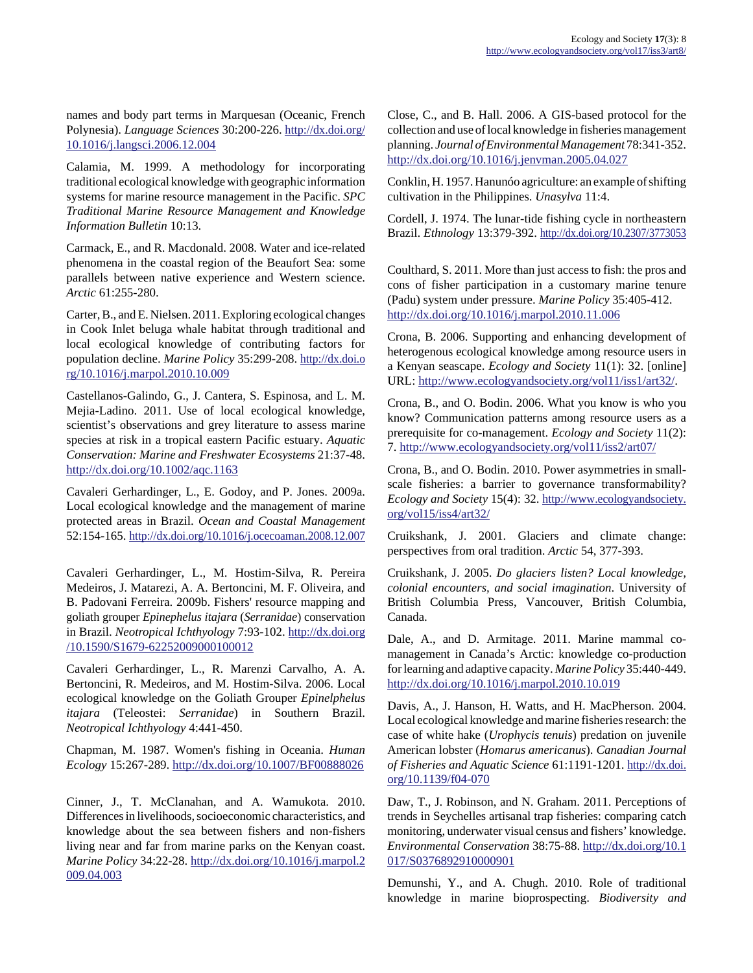names and body part terms in Marquesan (Oceanic, French Polynesia). *Language Sciences* 30:200-226. [http://dx.doi.org/](http://dx.doi.org/10.1016/j.langsci.2006.12.004) [10.1016/j.langsci.2006.12.004](http://dx.doi.org/10.1016/j.langsci.2006.12.004)

Calamia, M. 1999. A methodology for incorporating traditional ecological knowledge with geographic information systems for marine resource management in the Pacific. *SPC Traditional Marine Resource Management and Knowledge Information Bulletin* 10:13.

Carmack, E., and R. Macdonald. 2008. Water and ice-related phenomena in the coastal region of the Beaufort Sea: some parallels between native experience and Western science. *Arctic* 61:255-280.

Carter, B., and E. Nielsen. 2011. Exploring ecological changes in Cook Inlet beluga whale habitat through traditional and local ecological knowledge of contributing factors for population decline. *Marine Policy* 35:299-208. [http://dx.doi.o](http://dx.doi.org/10.1016/j.marpol.2010.10.009) [rg/10.1016/j.marpol.2010.10.009](http://dx.doi.org/10.1016/j.marpol.2010.10.009)

Castellanos-Galindo, G., J. Cantera, S. Espinosa, and L. M. Mejia-Ladino. 2011. Use of local ecological knowledge, scientist's observations and grey literature to assess marine species at risk in a tropical eastern Pacific estuary. *Aquatic Conservation: Marine and Freshwater Ecosystems* 21:37-48. <http://dx.doi.org/10.1002/aqc.1163>

Cavaleri Gerhardinger, L., E. Godoy, and P. Jones. 2009a. Local ecological knowledge and the management of marine protected areas in Brazil. *Ocean and Coastal Management* 52:154-165.<http://dx.doi.org/10.1016/j.ocecoaman.2008.12.007>

Cavaleri Gerhardinger, L., M. Hostim-Silva, R. Pereira Medeiros, J. Matarezi, A. A. Bertoncini, M. F. Oliveira, and B. Padovani Ferreira. 2009b. Fishers' resource mapping and goliath grouper *Epinephelus itajara* (*Serranidae*) conservation in Brazil. *Neotropical Ichthyology* 7:93-102. [http://dx.doi.org](http://dx.doi.org/10.1590/S1679-62252009000100012) [/10.1590/S1679-62252009000100012](http://dx.doi.org/10.1590/S1679-62252009000100012)

Cavaleri Gerhardinger, L., R. Marenzi Carvalho, A. A. Bertoncini, R. Medeiros, and M. Hostim-Silva. 2006. Local ecological knowledge on the Goliath Grouper *Epinelphelus itajara* (Teleostei: *Serranidae*) in Southern Brazil. *Neotropical Ichthyology* 4:441-450.

Chapman, M. 1987. Women's fishing in Oceania. *Human Ecology* 15:267-289.<http://dx.doi.org/10.1007/BF00888026>

Cinner, J., T. McClanahan, and A. Wamukota. 2010. Differences in livelihoods, socioeconomic characteristics, and knowledge about the sea between fishers and non-fishers living near and far from marine parks on the Kenyan coast. *Marine Policy* 34:22-28. [http://dx.doi.org/10.1016/j.marpol.2](http://dx.doi.org/10.1016/j.marpol.2009.04.003) [009.04.003](http://dx.doi.org/10.1016/j.marpol.2009.04.003)

Close, C., and B. Hall. 2006. A GIS-based protocol for the collection and use of local knowledge in fisheries management planning. *Journal of Environmental Management* 78:341-352. <http://dx.doi.org/10.1016/j.jenvman.2005.04.027>

Conklin, H. 1957. Hanunóo agriculture: an example of shifting cultivation in the Philippines. *Unasylva* 11:4.

Cordell, J. 1974. The lunar-tide fishing cycle in northeastern Brazil. *Ethnology* 13:379-392.<http://dx.doi.org/10.2307/3773053>

Coulthard, S. 2011. More than just access to fish: the pros and cons of fisher participation in a customary marine tenure (Padu) system under pressure. *Marine Policy* 35:405-412. <http://dx.doi.org/10.1016/j.marpol.2010.11.006>

Crona, B. 2006. Supporting and enhancing development of heterogenous ecological knowledge among resource users in a Kenyan seascape. *Ecology and Society* 11(1): 32. [online] URL: [http://www.ecologyandsociety.org/vol11/iss1/art32/.](http://www.ecologyandsociety.org/vol11/iss1/art32/)

Crona, B., and O. Bodin. 2006. What you know is who you know? Communication patterns among resource users as a prerequisite for co-management. *Ecology and Society* 11(2): 7.<http://www.ecologyandsociety.org/vol11/iss2/art07/>

Crona, B., and O. Bodin. 2010. Power asymmetries in smallscale fisheries: a barrier to governance transformability? *Ecology and Society* 15(4): 32. [http://www.ecologyandsociety.](http://www.ecologyandsociety.org/vol15/iss4/art32/) [org/vol15/iss4/art32/](http://www.ecologyandsociety.org/vol15/iss4/art32/)

Cruikshank, J. 2001. Glaciers and climate change: perspectives from oral tradition. *Arctic* 54, 377-393.

Cruikshank, J. 2005. *Do glaciers listen? Local knowledge, colonial encounters, and social imagination*. University of British Columbia Press, Vancouver, British Columbia, Canada.

Dale, A., and D. Armitage. 2011. Marine mammal comanagement in Canada's Arctic: knowledge co-production for learning and adaptive capacity. *Marine Policy* 35:440-449. <http://dx.doi.org/10.1016/j.marpol.2010.10.019>

Davis, A., J. Hanson, H. Watts, and H. MacPherson. 2004. Local ecological knowledge and marine fisheries research: the case of white hake (*Urophycis tenuis*) predation on juvenile American lobster (*Homarus americanus*). *Canadian Journal of Fisheries and Aquatic Science* 61:1191-1201. [http://dx.doi.](http://dx.doi.org/10.1139/f04-070) [org/10.1139/f04-070](http://dx.doi.org/10.1139/f04-070)

Daw, T., J. Robinson, and N. Graham. 2011. Perceptions of trends in Seychelles artisanal trap fisheries: comparing catch monitoring, underwater visual census and fishers' knowledge. *Environmental Conservation* 38:75-88. [http://dx.doi.org/10.1](http://dx.doi.org/10.1017/S0376892910000901) [017/S0376892910000901](http://dx.doi.org/10.1017/S0376892910000901)

Demunshi, Y., and A. Chugh. 2010. Role of traditional knowledge in marine bioprospecting. *Biodiversity and*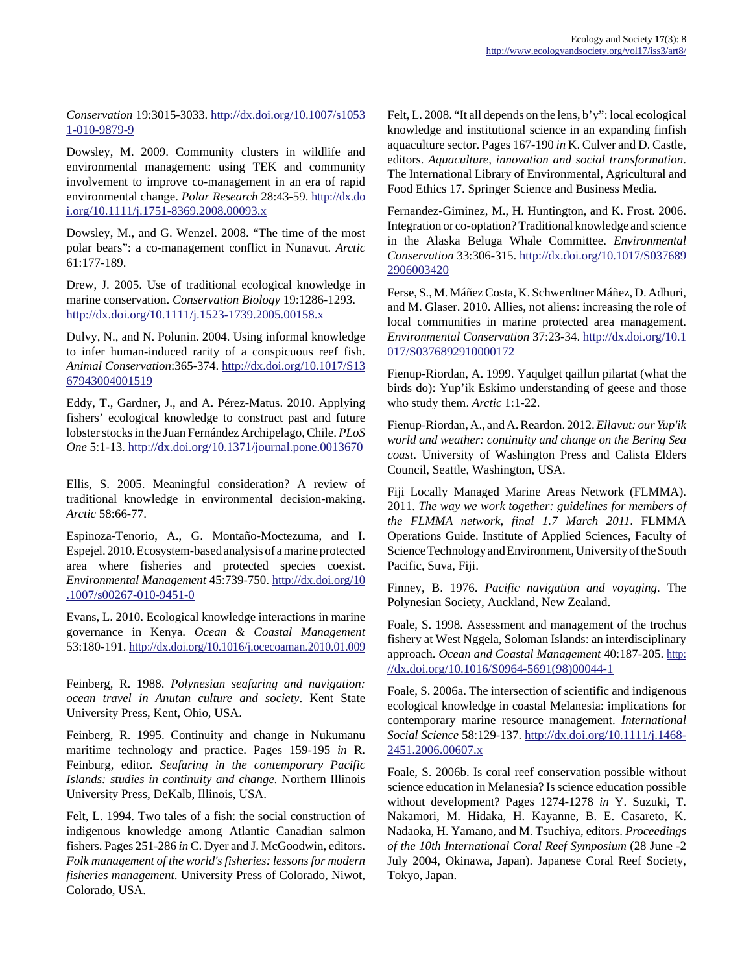*Conservation* 19:3015-3033. [http://dx.doi.org/10.1007/s1053](http://dx.doi.org/10.1007/s10531-010-9879-9) [1-010-9879-9](http://dx.doi.org/10.1007/s10531-010-9879-9)

Dowsley, M. 2009. Community clusters in wildlife and environmental management: using TEK and community involvement to improve co-management in an era of rapid environmental change. *Polar Research* 28:43-59. [http://dx.do](http://dx.doi.org/10.1111/j.1751-8369.2008.00093.x) [i.org/10.1111/j.1751-8369.2008.00093.x](http://dx.doi.org/10.1111/j.1751-8369.2008.00093.x) 

Dowsley, M., and G. Wenzel. 2008. "The time of the most polar bears": a co-management conflict in Nunavut. *Arctic* 61:177-189.

Drew, J. 2005. Use of traditional ecological knowledge in marine conservation. *Conservation Biology* 19:1286-1293. <http://dx.doi.org/10.1111/j.1523-1739.2005.00158.x>

Dulvy, N., and N. Polunin. 2004. Using informal knowledge to infer human-induced rarity of a conspicuous reef fish. *Animal Conservation*:365-374. [http://dx.doi.org/10.1017/S13](http://dx.doi.org/10.1017/S1367943004001519) [67943004001519](http://dx.doi.org/10.1017/S1367943004001519)

Eddy, T., Gardner, J., and A. Pérez-Matus. 2010. Applying fishers' ecological knowledge to construct past and future lobster stocks in the Juan Fernández Archipelago, Chile. *PLoS One* 5:1-13.<http://dx.doi.org/10.1371/journal.pone.0013670>

Ellis, S. 2005. Meaningful consideration? A review of traditional knowledge in environmental decision-making. *Arctic* 58:66-77.

Espinoza-Tenorio, A., G. Montaño-Moctezuma, and I. Espejel. 2010. Ecosystem-based analysis of a marine protected area where fisheries and protected species coexist. *Environmental Management* 45:739-750. [http://dx.doi.org/10](http://dx.doi.org/10.1007/s00267-010-9451-0) [.1007/s00267-010-9451-0](http://dx.doi.org/10.1007/s00267-010-9451-0)

Evans, L. 2010. Ecological knowledge interactions in marine governance in Kenya. *Ocean & Coastal Management* 53:180-191.<http://dx.doi.org/10.1016/j.ocecoaman.2010.01.009>

Feinberg, R. 1988. *Polynesian seafaring and navigation: ocean travel in Anutan culture and society*. Kent State University Press, Kent, Ohio, USA.

Feinberg, R. 1995. Continuity and change in Nukumanu maritime technology and practice. Pages 159-195 *in* R. Feinburg, editor. *Seafaring in the contemporary Pacific Islands: studies in continuity and change.* Northern Illinois University Press, DeKalb, Illinois, USA.

Felt, L. 1994. Two tales of a fish: the social construction of indigenous knowledge among Atlantic Canadian salmon fishers. Pages 251-286 in C. Dyer and J. McGoodwin, editors. *Folk management of the world's fisheries: lessons for modern fisheries management*. University Press of Colorado, Niwot, Colorado, USA.

Felt, L. 2008. "It all depends on the lens, b'y": local ecological knowledge and institutional science in an expanding finfish aquaculture sector. Pages 167-190 *in* K. Culver and D. Castle, editors. *Aquaculture, innovation and social transformation*. The International Library of Environmental, Agricultural and Food Ethics 17. Springer Science and Business Media.

Fernandez-Giminez, M., H. Huntington, and K. Frost. 2006. Integration or co-optation? Traditional knowledge and science in the Alaska Beluga Whale Committee. *Environmental Conservation* 33:306-315. [http://dx.doi.org/10.1017/S037689](http://dx.doi.org/10.1017/S0376892906003420) [2906003420](http://dx.doi.org/10.1017/S0376892906003420)

Ferse, S., M. Máñez Costa, K. Schwerdtner Máñez, D. Adhuri, and M. Glaser. 2010. Allies, not aliens: increasing the role of local communities in marine protected area management. *Environmental Conservation* 37:23-34. [http://dx.doi.org/10.1](http://dx.doi.org/10.1017/S0376892910000172) [017/S0376892910000172](http://dx.doi.org/10.1017/S0376892910000172)

Fienup-Riordan, A. 1999. Yaqulget qaillun pilartat (what the birds do): Yup'ik Eskimo understanding of geese and those who study them. *Arctic* 1:1-22.

Fienup-Riordan, A., and A. Reardon. 2012. *Ellavut: our Yup'ik world and weather: continuity and change on the Bering Sea coast*. University of Washington Press and Calista Elders Council, Seattle, Washington, USA.

Fiji Locally Managed Marine Areas Network (FLMMA). 2011. *The way we work together: guidelines for members of the FLMMA network, final 1.7 March 2011*. FLMMA Operations Guide. Institute of Applied Sciences, Faculty of Science Technology and Environment, University of the South Pacific, Suva, Fiji.

Finney, B. 1976. *Pacific navigation and voyaging*. The Polynesian Society, Auckland, New Zealand.

Foale, S. 1998. Assessment and management of the trochus fishery at West Nggela, Soloman Islands: an interdisciplinary approach. *Ocean and Coastal Management* 40:187-205. [http:](http://dx.doi.org/10.1016/S0964-5691(98)00044-1) [//dx.doi.org/10.1016/S0964-5691\(98\)00044-1](http://dx.doi.org/10.1016/S0964-5691(98)00044-1) 

Foale, S. 2006a. The intersection of scientific and indigenous ecological knowledge in coastal Melanesia: implications for contemporary marine resource management. *International Social Science* 58:129-137. [http://dx.doi.org/10.1111/j.1468-](http://dx.doi.org/10.1111/j.1468-2451.2006.00607.x) [2451.2006.00607.x](http://dx.doi.org/10.1111/j.1468-2451.2006.00607.x)

Foale, S. 2006b. Is coral reef conservation possible without science education in Melanesia? Is science education possible without development? Pages 1274-1278 *in* Y. Suzuki, T. Nakamori, M. Hidaka, H. Kayanne, B. E. Casareto, K. Nadaoka, H. Yamano, and M. Tsuchiya, editors. *Proceedings of the 10th International Coral Reef Symposium* (28 June -2 July 2004, Okinawa, Japan). Japanese Coral Reef Society, Tokyo, Japan.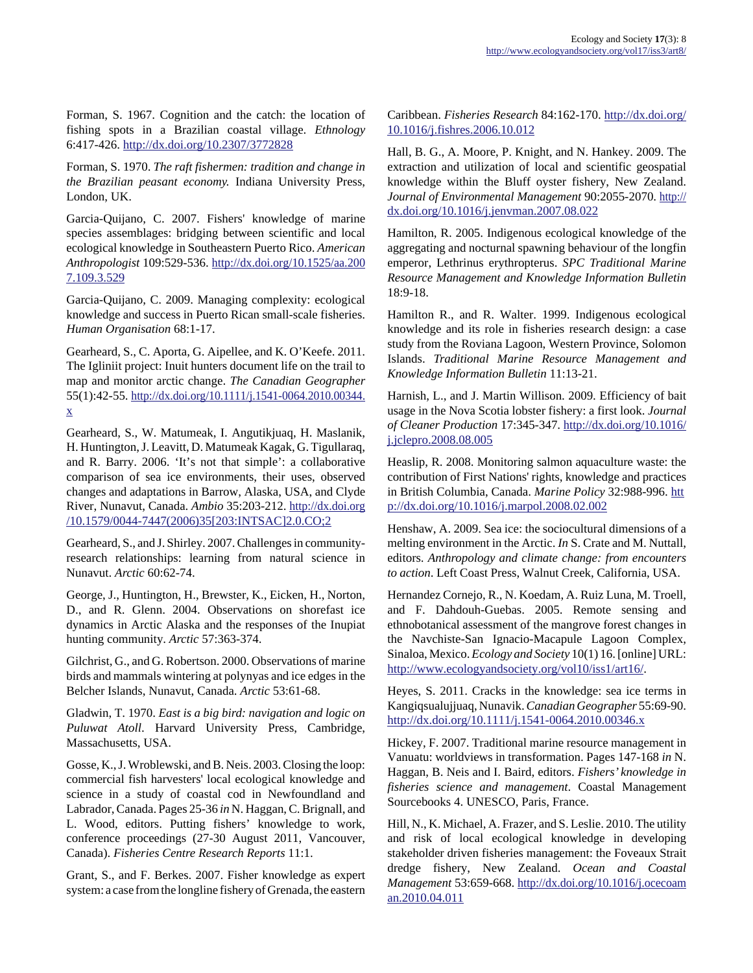Forman, S. 1967. Cognition and the catch: the location of fishing spots in a Brazilian coastal village. *Ethnology* 6:417-426.<http://dx.doi.org/10.2307/3772828>

Forman, S. 1970. *The raft fishermen: tradition and change in the Brazilian peasant economy.* Indiana University Press, London, UK.

Garcia-Quijano, C. 2007. Fishers' knowledge of marine species assemblages: bridging between scientific and local ecological knowledge in Southeastern Puerto Rico. *American Anthropologist* 109:529-536. [http://dx.doi.org/10.1525/aa.200](http://dx.doi.org/10.1525/aa.2007.109.3.529) [7.109.3.529](http://dx.doi.org/10.1525/aa.2007.109.3.529) 

Garcia-Quijano, C. 2009. Managing complexity: ecological knowledge and success in Puerto Rican small-scale fisheries. *Human Organisation* 68:1-17.

Gearheard, S., C. Aporta, G. Aipellee, and K. O'Keefe. 2011. The Igliniit project: Inuit hunters document life on the trail to map and monitor arctic change. *The Canadian Geographer* 55(1):42-55. [http://dx.doi.org/10.1111/j.1541-0064.2010.00344.](http://dx.doi.org/10.1111/j.1541-0064.2010.00344.x) [x](http://dx.doi.org/10.1111/j.1541-0064.2010.00344.x)

Gearheard, S., W. Matumeak, I. Angutikjuaq, H. Maslanik, H. Huntington, J. Leavitt, D. Matumeak Kagak, G. Tigullaraq, and R. Barry. 2006. 'It's not that simple': a collaborative comparison of sea ice environments, their uses, observed changes and adaptations in Barrow, Alaska, USA, and Clyde River, Nunavut, Canada. *Ambio* 35:203-212. [http://dx.doi.org](http://dx.doi.org/10.1579/0044-7447(2006)35[203:INTSAC]2.0.CO;2) [/10.1579/0044-7447\(2006\)35\[203:INTSAC\]2.0.CO;2](http://dx.doi.org/10.1579/0044-7447(2006)35[203:INTSAC]2.0.CO;2)

Gearheard, S., and J. Shirley. 2007. Challenges in communityresearch relationships: learning from natural science in Nunavut. *Arctic* 60:62-74.

George, J., Huntington, H., Brewster, K., Eicken, H., Norton, D., and R. Glenn. 2004. Observations on shorefast ice dynamics in Arctic Alaska and the responses of the Inupiat hunting community. *Arctic* 57:363-374.

Gilchrist, G., and G. Robertson. 2000. Observations of marine birds and mammals wintering at polynyas and ice edges in the Belcher Islands, Nunavut, Canada. *Arctic* 53:61-68.

Gladwin, T. 1970. *East is a big bird: navigation and logic on Puluwat Atoll*. Harvard University Press, Cambridge, Massachusetts, USA.

Gosse, K., J. Wroblewski, and B. Neis. 2003. Closing the loop: commercial fish harvesters' local ecological knowledge and science in a study of coastal cod in Newfoundland and Labrador, Canada. Pages 25-36 *in* N. Haggan, C. Brignall, and L. Wood, editors. Putting fishers' knowledge to work, conference proceedings (27-30 August 2011, Vancouver, Canada). *Fisheries Centre Research Reports* 11:1.

Grant, S., and F. Berkes. 2007. Fisher knowledge as expert system: a case from the longline fishery of Grenada, the eastern Caribbean. *Fisheries Research* 84:162-170. [http://dx.doi.org/](http://dx.doi.org/10.1016/j.fishres.2006.10.012) [10.1016/j.fishres.2006.10.012](http://dx.doi.org/10.1016/j.fishres.2006.10.012) 

Hall, B. G., A. Moore, P. Knight, and N. Hankey. 2009. The extraction and utilization of local and scientific geospatial knowledge within the Bluff oyster fishery, New Zealand. *Journal of Environmental Management* 90:2055-2070. [http://](http://dx.doi.org/10.1016/j.jenvman.2007.08.022) [dx.doi.org/10.1016/j.jenvman.2007.08.022](http://dx.doi.org/10.1016/j.jenvman.2007.08.022)

Hamilton, R. 2005. Indigenous ecological knowledge of the aggregating and nocturnal spawning behaviour of the longfin emperor, Lethrinus erythropterus. *SPC Traditional Marine Resource Management and Knowledge Information Bulletin* 18:9-18.

Hamilton R., and R. Walter. 1999. Indigenous ecological knowledge and its role in fisheries research design: a case study from the Roviana Lagoon, Western Province, Solomon Islands. *Traditional Marine Resource Management and Knowledge Information Bulletin* 11:13-21.

Harnish, L., and J. Martin Willison. 2009. Efficiency of bait usage in the Nova Scotia lobster fishery: a first look. *Journal of Cleaner Production* 17:345-347. [http://dx.doi.org/10.1016/](http://dx.doi.org/10.1016/j.jclepro.2008.08.005) [j.jclepro.2008.08.005](http://dx.doi.org/10.1016/j.jclepro.2008.08.005) 

Heaslip, R. 2008. Monitoring salmon aquaculture waste: the contribution of First Nations' rights, knowledge and practices in British Columbia, Canada. *Marine Policy* 32:988-996. [htt](http://dx.doi.org/10.1016/j.marpol.2008.02.002) [p://dx.doi.org/10.1016/j.marpol.2008.02.002](http://dx.doi.org/10.1016/j.marpol.2008.02.002) 

Henshaw, A. 2009. Sea ice: the sociocultural dimensions of a melting environment in the Arctic. *In* S. Crate and M. Nuttall, editors. *Anthropology and climate change: from encounters to action*. Left Coast Press, Walnut Creek, California, USA.

Hernandez Cornejo, R., N. Koedam, A. Ruiz Luna, M. Troell, and F. Dahdouh-Guebas. 2005. Remote sensing and ethnobotanical assessment of the mangrove forest changes in the Navchiste-San Ignacio-Macapule Lagoon Complex, Sinaloa, Mexico. *Ecology and Society* 10(1) 16. [online] URL: <http://www.ecologyandsociety.org/vol10/iss1/art16/>.

Heyes, S. 2011. Cracks in the knowledge: sea ice terms in Kangiqsualujjuaq, Nunavik. *Canadian Geographer* 55:69-90. <http://dx.doi.org/10.1111/j.1541-0064.2010.00346.x>

Hickey, F. 2007. Traditional marine resource management in Vanuatu: worldviews in transformation. Pages 147-168 *in* N. Haggan, B. Neis and I. Baird, editors. *Fishers' knowledge in fisheries science and management*. Coastal Management Sourcebooks 4. UNESCO, Paris, France.

Hill, N., K. Michael, A. Frazer, and S. Leslie. 2010. The utility and risk of local ecological knowledge in developing stakeholder driven fisheries management: the Foveaux Strait dredge fishery, New Zealand. *Ocean and Coastal Management* 53:659-668. [http://dx.doi.org/10.1016/j.ocecoam](http://dx.doi.org/10.1016/j.ocecoaman.2010.04.011) [an.2010.04.011](http://dx.doi.org/10.1016/j.ocecoaman.2010.04.011)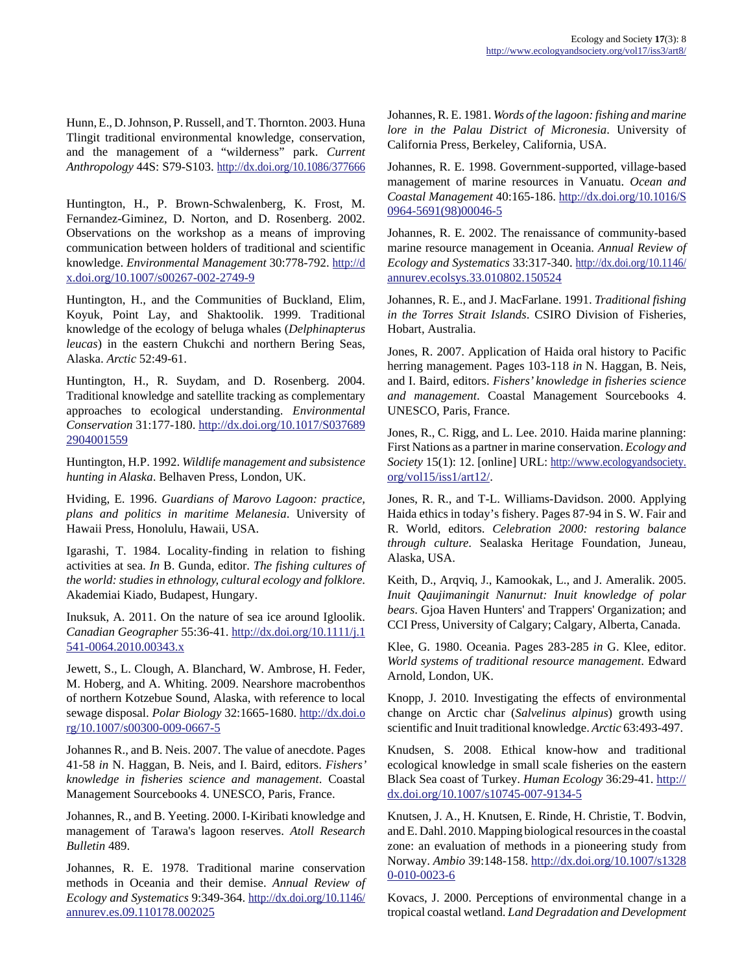Hunn, E., D. Johnson, P. Russell, and T. Thornton. 2003. Huna Tlingit traditional environmental knowledge, conservation, and the management of a "wilderness" park. *Current Anthropology* 44S: S79-S103.<http://dx.doi.org/10.1086/377666>

Huntington, H., P. Brown-Schwalenberg, K. Frost, M. Fernandez-Giminez, D. Norton, and D. Rosenberg. 2002. Observations on the workshop as a means of improving communication between holders of traditional and scientific knowledge. *Environmental Management* 30:778-792. [http://d](http://dx.doi.org/10.1007/s00267-002-2749-9) [x.doi.org/10.1007/s00267-002-2749-9](http://dx.doi.org/10.1007/s00267-002-2749-9)

Huntington, H., and the Communities of Buckland, Elim, Koyuk, Point Lay, and Shaktoolik. 1999. Traditional knowledge of the ecology of beluga whales (*Delphinapterus leucas*) in the eastern Chukchi and northern Bering Seas, Alaska. *Arctic* 52:49-61.

Huntington, H., R. Suydam, and D. Rosenberg. 2004. Traditional knowledge and satellite tracking as complementary approaches to ecological understanding. *Environmental Conservation* 31:177-180. [http://dx.doi.org/10.1017/S037689](http://dx.doi.org/10.1017/S0376892904001559) [2904001559](http://dx.doi.org/10.1017/S0376892904001559)

Huntington, H.P. 1992. *Wildlife management and subsistence hunting in Alaska*. Belhaven Press, London, UK.

Hviding, E. 1996. *Guardians of Marovo Lagoon: practice, plans and politics in maritime Melanesia*. University of Hawaii Press, Honolulu, Hawaii, USA.

Igarashi, T. 1984. Locality-finding in relation to fishing activities at sea. *In* B. Gunda, editor. *The fishing cultures of the world: studies in ethnology, cultural ecology and folklore*. Akademiai Kiado, Budapest, Hungary.

Inuksuk, A. 2011. On the nature of sea ice around Igloolik. *Canadian Geographer* 55:36-41. [http://dx.doi.org/10.1111/j.1](http://dx.doi.org/10.1111/j.1541-0064.2010.00343.x) [541-0064.2010.00343.x](http://dx.doi.org/10.1111/j.1541-0064.2010.00343.x)

Jewett, S., L. Clough, A. Blanchard, W. Ambrose, H. Feder, M. Hoberg, and A. Whiting. 2009. Nearshore macrobenthos of northern Kotzebue Sound, Alaska, with reference to local sewage disposal. *Polar Biology* 32:1665-1680. [http://dx.doi.o](http://dx.doi.org/10.1007/s00300-009-0667-5) [rg/10.1007/s00300-009-0667-5](http://dx.doi.org/10.1007/s00300-009-0667-5)

Johannes R., and B. Neis. 2007. The value of anecdote. Pages 41-58 *in* N. Haggan, B. Neis, and I. Baird, editors. *Fishers' knowledge in fisheries science and management*. Coastal Management Sourcebooks 4. UNESCO, Paris, France.

Johannes, R., and B. Yeeting. 2000. I-Kiribati knowledge and management of Tarawa's lagoon reserves. *Atoll Research Bulletin* 489.

Johannes, R. E. 1978. Traditional marine conservation methods in Oceania and their demise. *Annual Review of Ecology and Systematics* 9:349-364. [http://dx.doi.org/10.1146/](http://dx.doi.org/10.1146/annurev.es.09.110178.002025) [annurev.es.09.110178.002025](http://dx.doi.org/10.1146/annurev.es.09.110178.002025) 

Johannes, R. E. 1981. *Words of the lagoon: fishing and marine lore in the Palau District of Micronesia*. University of California Press, Berkeley, California, USA.

Johannes, R. E. 1998. Government-supported, village-based management of marine resources in Vanuatu. *Ocean and Coastal Management* 40:165-186. [http://dx.doi.org/10.1016/S](http://dx.doi.org/10.1016/S0964-5691(98)00046-5) [0964-5691\(98\)00046-5](http://dx.doi.org/10.1016/S0964-5691(98)00046-5)

Johannes, R. E. 2002. The renaissance of community-based marine resource management in Oceania. *Annual Review of Ecology and Systematics* 33:317-340. [http://dx.doi.org/10.1146/](http://dx.doi.org/10.1146/annurev.ecolsys.33.010802.150524) [annurev.ecolsys.33.010802.150524](http://dx.doi.org/10.1146/annurev.ecolsys.33.010802.150524) 

Johannes, R. E., and J. MacFarlane. 1991. *Traditional fishing in the Torres Strait Islands*. CSIRO Division of Fisheries, Hobart, Australia.

Jones, R. 2007. Application of Haida oral history to Pacific herring management. Pages 103-118 *in* N. Haggan, B. Neis, and I. Baird, editors. *Fishers' knowledge in fisheries science and management*. Coastal Management Sourcebooks 4. UNESCO, Paris, France.

Jones, R., C. Rigg, and L. Lee. 2010. Haida marine planning: First Nations as a partner in marine conservation. *Ecology and Society* 15(1): 12. [online] URL: [http://www.ecologyandsociety.](http://www.ecologyandsociety.org/vol15/iss1/art12/) [org/vol15/iss1/art12/](http://www.ecologyandsociety.org/vol15/iss1/art12/).

Jones, R. R., and T-L. Williams-Davidson. 2000. Applying Haida ethics in today's fishery. Pages 87-94 in S. W. Fair and R. World, editors. *Celebration 2000: restoring balance through culture*. Sealaska Heritage Foundation, Juneau, Alaska, USA.

Keith, D., Arqviq, J., Kamookak, L., and J. Ameralik. 2005. *Inuit Qaujimaningit Nanurnut: Inuit knowledge of polar bears*. Gjoa Haven Hunters' and Trappers' Organization; and CCI Press, University of Calgary; Calgary, Alberta, Canada.

Klee, G. 1980. Oceania. Pages 283-285 *in* G. Klee, editor. *World systems of traditional resource management*. Edward Arnold, London, UK.

Knopp, J. 2010. Investigating the effects of environmental change on Arctic char (*Salvelinus alpinus*) growth using scientific and Inuit traditional knowledge. *Arctic* 63:493-497.

Knudsen, S. 2008. Ethical know-how and traditional ecological knowledge in small scale fisheries on the eastern Black Sea coast of Turkey. *Human Ecology* 36:29-41. [http://](http://dx.doi.org/10.1007/s10745-007-9134-5) [dx.doi.org/10.1007/s10745-007-9134-5](http://dx.doi.org/10.1007/s10745-007-9134-5)

Knutsen, J. A., H. Knutsen, E. Rinde, H. Christie, T. Bodvin, and E. Dahl. 2010. Mapping biological resources in the coastal zone: an evaluation of methods in a pioneering study from Norway. *Ambio* 39:148-158. [http://dx.doi.org/10.1007/s1328](http://dx.doi.org/10.1007/s13280-010-0023-6) [0-010-0023-6](http://dx.doi.org/10.1007/s13280-010-0023-6)

Kovacs, J. 2000. Perceptions of environmental change in a tropical coastal wetland. *Land Degradation and Development*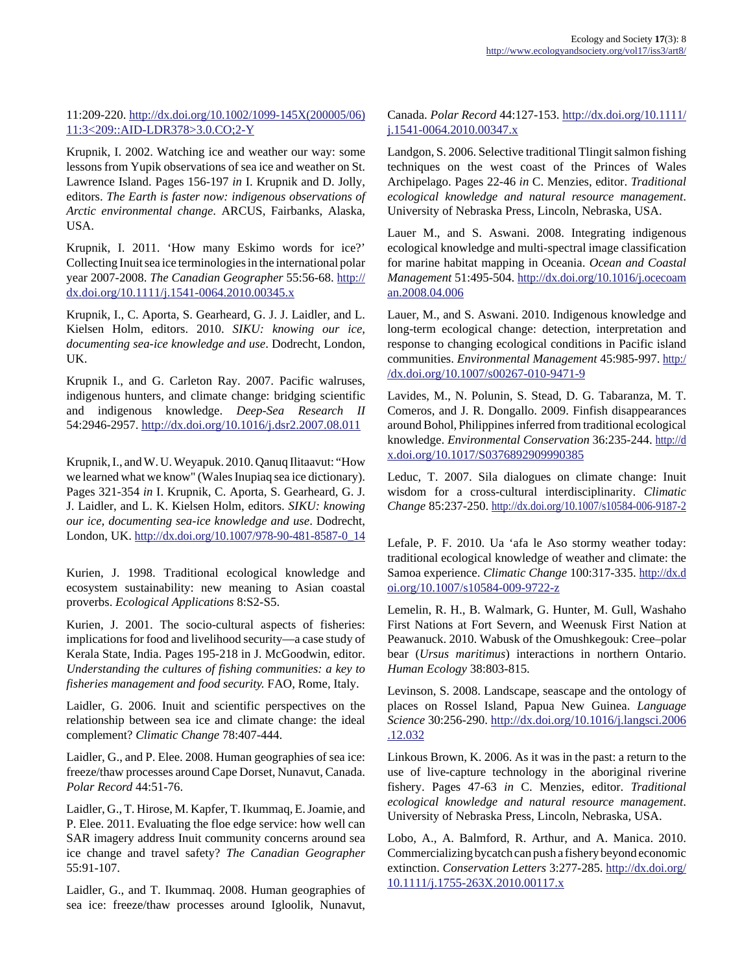## 11:209-220. [http://dx.doi.org/10.1002/1099-145X\(200005/06\)](http://dx.doi.org/10.1002/1099-145X(200005/06)11:3<209::AID-LDR378>3.0.CO;2-Y) [11:3<209::AID-LDR378>3.0.CO;2-Y](http://dx.doi.org/10.1002/1099-145X(200005/06)11:3<209::AID-LDR378>3.0.CO;2-Y)

Krupnik, I. 2002. Watching ice and weather our way: some lessons from Yupik observations of sea ice and weather on St. Lawrence Island. Pages 156-197 *in* I. Krupnik and D. Jolly, editors. *The Earth is faster now: indigenous observations of Arctic environmental change*. ARCUS, Fairbanks, Alaska, USA.

Krupnik, I. 2011. 'How many Eskimo words for ice?' Collecting Inuit sea ice terminologies in the international polar year 2007-2008. *The Canadian Geographer* 55:56-68. [http://](http://dx.doi.org/10.1111/j.1541-0064.2010.00345.x) [dx.doi.org/10.1111/j.1541-0064.2010.00345.x](http://dx.doi.org/10.1111/j.1541-0064.2010.00345.x)

Krupnik, I., C. Aporta, S. Gearheard, G. J. J. Laidler, and L. Kielsen Holm, editors. 2010. *SIKU: knowing our ice, documenting sea-ice knowledge and use*. Dodrecht, London, UK.

Krupnik I., and G. Carleton Ray. 2007. Pacific walruses, indigenous hunters, and climate change: bridging scientific and indigenous knowledge. *Deep-Sea Research II* 54:2946-2957.<http://dx.doi.org/10.1016/j.dsr2.2007.08.011>

Krupnik, I., and W. U. Weyapuk. 2010. Qanuq Ilitaavut: "How we learned what we know" (Wales Inupiaq sea ice dictionary). Pages 321-354 *in* I. Krupnik, C. Aporta, S. Gearheard, G. J. J. Laidler, and L. K. Kielsen Holm, editors. *SIKU: knowing our ice, documenting sea-ice knowledge and use*. Dodrecht, London, UK. [http://dx.doi.org/10.1007/978-90-481-8587-0\\_14](http://dx.doi.org/10.1007/978-90-481-8587-0_14)

Kurien, J. 1998. Traditional ecological knowledge and ecosystem sustainability: new meaning to Asian coastal proverbs. *Ecological Applications* 8:S2-S5.

Kurien, J. 2001. The socio-cultural aspects of fisheries: implications for food and livelihood security—a case study of Kerala State, India. Pages 195-218 in J. McGoodwin, editor. *Understanding the cultures of fishing communities: a key to fisheries management and food security.* FAO, Rome, Italy.

Laidler, G. 2006. Inuit and scientific perspectives on the relationship between sea ice and climate change: the ideal complement? *Climatic Change* 78:407-444.

Laidler, G., and P. Elee. 2008. Human geographies of sea ice: freeze/thaw processes around Cape Dorset, Nunavut, Canada. *Polar Record* 44:51-76.

Laidler, G., T. Hirose, M. Kapfer, T. Ikummaq, E. Joamie, and P. Elee. 2011. Evaluating the floe edge service: how well can SAR imagery address Inuit community concerns around sea ice change and travel safety? *The Canadian Geographer* 55:91-107.

Laidler, G., and T. Ikummaq. 2008. Human geographies of sea ice: freeze/thaw processes around Igloolik, Nunavut,

## Canada. *Polar Record* 44:127-153. [http://dx.doi.org/10.1111/](http://dx.doi.org/10.1111/j.1541-0064.2010.00347.x) [j.1541-0064.2010.00347.x](http://dx.doi.org/10.1111/j.1541-0064.2010.00347.x)

Landgon, S. 2006. Selective traditional Tlingit salmon fishing techniques on the west coast of the Princes of Wales Archipelago. Pages 22-46 *in* C. Menzies, editor. *Traditional ecological knowledge and natural resource management*. University of Nebraska Press, Lincoln, Nebraska, USA.

Lauer M., and S. Aswani. 2008. Integrating indigenous ecological knowledge and multi-spectral image classification for marine habitat mapping in Oceania. *Ocean and Coastal Management* 51:495-504. [http://dx.doi.org/10.1016/j.ocecoam](http://dx.doi.org/10.1016/j.ocecoaman.2008.04.006) [an.2008.04.006](http://dx.doi.org/10.1016/j.ocecoaman.2008.04.006)

Lauer, M., and S. Aswani. 2010. Indigenous knowledge and long-term ecological change: detection, interpretation and response to changing ecological conditions in Pacific island communities. *Environmental Management* 45:985-997. [http:/](http://dx.doi.org/10.1007/s00267-010-9471-9) [/dx.doi.org/10.1007/s00267-010-9471-9](http://dx.doi.org/10.1007/s00267-010-9471-9)

Lavides, M., N. Polunin, S. Stead, D. G. Tabaranza, M. T. Comeros, and J. R. Dongallo. 2009. Finfish disappearances around Bohol, Philippines inferred from traditional ecological knowledge. *Environmental Conservation* 36:235-244. [http://d](http://dx.doi.org/10.1017/S0376892909990385) [x.doi.org/10.1017/S0376892909990385](http://dx.doi.org/10.1017/S0376892909990385) 

Leduc, T. 2007. Sila dialogues on climate change: Inuit wisdom for a cross-cultural interdisciplinarity. *Climatic Change* 85:237-250. <http://dx.doi.org/10.1007/s10584-006-9187-2>

Lefale, P. F. 2010. Ua 'afa le Aso stormy weather today: traditional ecological knowledge of weather and climate: the Samoa experience. *Climatic Change* 100:317-335. [http://dx.d](http://dx.doi.org/10.1007/s10584-009-9722-z) [oi.org/10.1007/s10584-009-9722-z](http://dx.doi.org/10.1007/s10584-009-9722-z)

Lemelin, R. H., B. Walmark, G. Hunter, M. Gull, Washaho First Nations at Fort Severn, and Weenusk First Nation at Peawanuck. 2010. Wabusk of the Omushkegouk: Cree–polar bear (*Ursus maritimus*) interactions in northern Ontario. *Human Ecology* 38:803-815.

Levinson, S. 2008. Landscape, seascape and the ontology of places on Rossel Island, Papua New Guinea. *Language Science* 30:256-290. [http://dx.doi.org/10.1016/j.langsci.2006](http://dx.doi.org/10.1016/j.langsci.2006.12.032) [.12.032](http://dx.doi.org/10.1016/j.langsci.2006.12.032)

Linkous Brown, K. 2006. As it was in the past: a return to the use of live-capture technology in the aboriginal riverine fishery. Pages 47-63 *in* C. Menzies, editor. *Traditional ecological knowledge and natural resource management*. University of Nebraska Press, Lincoln, Nebraska, USA.

Lobo, A., A. Balmford, R. Arthur, and A. Manica. 2010. Commercializing bycatch can push a fishery beyond economic extinction. *Conservation Letters* 3:277-285. [http://dx.doi.org/](http://dx.doi.org/10.1111/j.1755-263X.2010.00117.x) [10.1111/j.1755-263X.2010.00117.x](http://dx.doi.org/10.1111/j.1755-263X.2010.00117.x)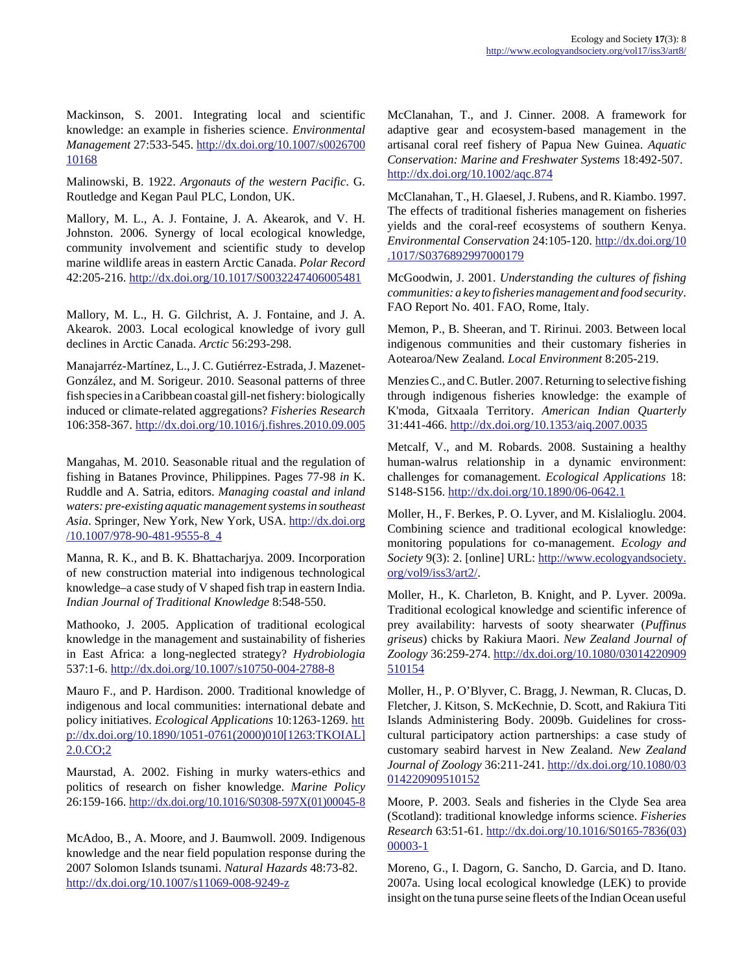Mackinson, S. 2001. Integrating local and scientific knowledge: an example in fisheries science. *Environmental Management* 27:533-545. [http://dx.doi.org/10.1007/s0026700](http://dx.doi.org/10.1007/s002670010168) [10168](http://dx.doi.org/10.1007/s002670010168)

Malinowski, B. 1922. *Argonauts of the western Pacific*. G. Routledge and Kegan Paul PLC, London, UK.

Mallory, M. L., A. J. Fontaine, J. A. Akearok, and V. H. Johnston. 2006. Synergy of local ecological knowledge, community involvement and scientific study to develop marine wildlife areas in eastern Arctic Canada. *Polar Record* 42:205-216.<http://dx.doi.org/10.1017/S0032247406005481>

Mallory, M. L., H. G. Gilchrist, A. J. Fontaine, and J. A. Akearok. 2003. Local ecological knowledge of ivory gull declines in Arctic Canada. *Arctic* 56:293-298.

Manajarréz-Martínez, L., J. C. Gutiérrez-Estrada, J. Mazenet-González, and M. Sorigeur. 2010. Seasonal patterns of three fish species in a Caribbean coastal gill-net fishery: biologically induced or climate-related aggregations? *Fisheries Research* 106:358-367.<http://dx.doi.org/10.1016/j.fishres.2010.09.005>

Mangahas, M. 2010. Seasonable ritual and the regulation of fishing in Batanes Province, Philippines. Pages 77-98 *in* K. Ruddle and A. Satria, editors. *Managing coastal and inland waters: pre-existing aquatic management systems in southeast Asia*. Springer, New York, New York, USA. [http://dx.doi.org](http://dx.doi.org/10.1007/978-90-481-9555-8_4) [/10.1007/978-90-481-9555-8\\_4](http://dx.doi.org/10.1007/978-90-481-9555-8_4)

Manna, R. K., and B. K. Bhattacharjya. 2009. Incorporation of new construction material into indigenous technological knowledge–a case study of V shaped fish trap in eastern India. *Indian Journal of Traditional Knowledge* 8:548-550.

Mathooko, J. 2005. Application of traditional ecological knowledge in the management and sustainability of fisheries in East Africa: a long-neglected strategy? *Hydrobiologia* 537:1-6.<http://dx.doi.org/10.1007/s10750-004-2788-8>

Mauro F., and P. Hardison. 2000. Traditional knowledge of indigenous and local communities: international debate and policy initiatives. *Ecological Applications* 10:1263-1269. [htt](http://dx.doi.org/10.1890/1051-0761(2000)010[1263:TKOIAL]2.0.CO;2) p://dx.doi.org/10.1890/1051-0761(2000)010[1263:TKOIAL] [2.0.CO;2](http://dx.doi.org/10.1890/1051-0761(2000)010[1263:TKOIAL]2.0.CO;2) 

Maurstad, A. 2002. Fishing in murky waters-ethics and politics of research on fisher knowledge. *Marine Policy* 26:159-166. [http://dx.doi.org/10.1016/S0308-597X\(01\)00045-8](http://dx.doi.org/10.1016/S0308-597X(01)00045-8)

McAdoo, B., A. Moore, and J. Baumwoll. 2009. Indigenous knowledge and the near field population response during the 2007 Solomon Islands tsunami. *Natural Hazards* 48:73-82. <http://dx.doi.org/10.1007/s11069-008-9249-z>

McClanahan, T., and J. Cinner. 2008. A framework for adaptive gear and ecosystem-based management in the artisanal coral reef fishery of Papua New Guinea. *Aquatic Conservation: Marine and Freshwater Systems* 18:492-507. <http://dx.doi.org/10.1002/aqc.874>

McClanahan, T., H. Glaesel, J. Rubens, and R. Kiambo. 1997. The effects of traditional fisheries management on fisheries yields and the coral-reef ecosystems of southern Kenya. *Environmental Conservation* 24:105-120. [http://dx.doi.org/10](http://dx.doi.org/10.1017/S0376892997000179) [.1017/S0376892997000179](http://dx.doi.org/10.1017/S0376892997000179) 

McGoodwin, J. 2001. *Understanding the cultures of fishing communities: a key to fisheries management and food security*. FAO Report No. 401. FAO, Rome, Italy.

Memon, P., B. Sheeran, and T. Ririnui. 2003. Between local indigenous communities and their customary fisheries in Aotearoa/New Zealand. *Local Environment* 8:205-219.

Menzies C., and C. Butler. 2007. Returning to selective fishing through indigenous fisheries knowledge: the example of K'moda, Gitxaala Territory. *American Indian Quarterly* 31:441-466.<http://dx.doi.org/10.1353/aiq.2007.0035>

Metcalf, V., and M. Robards. 2008. Sustaining a healthy human-walrus relationship in a dynamic environment: challenges for comanagement. *Ecological Applications* 18: S148-S156.<http://dx.doi.org/10.1890/06-0642.1>

Moller, H., F. Berkes, P. O. Lyver, and M. Kislalioglu. 2004. Combining science and traditional ecological knowledge: monitoring populations for co-management. *Ecology and Society* 9(3): 2. [online] URL: [http://www.ecologyandsociety.](http://www.ecologyandsociety.org/vol9/iss3/art2/) [org/vol9/iss3/art2/](http://www.ecologyandsociety.org/vol9/iss3/art2/).

Moller, H., K. Charleton, B. Knight, and P. Lyver. 2009a. Traditional ecological knowledge and scientific inference of prey availability: harvests of sooty shearwater (*Puffinus griseus*) chicks by Rakiura Maori. *New Zealand Journal of Zoology* 36:259-274. [http://dx.doi.org/10.1080/03014220909](http://dx.doi.org/10.1080/03014220909510154) [510154](http://dx.doi.org/10.1080/03014220909510154)

Moller, H., P. O'Blyver, C. Bragg, J. Newman, R. Clucas, D. Fletcher, J. Kitson, S. McKechnie, D. Scott, and Rakiura Titi Islands Administering Body. 2009b. Guidelines for crosscultural participatory action partnerships: a case study of customary seabird harvest in New Zealand. *New Zealand Journal of Zoology* 36:211-241. [http://dx.doi.org/10.1080/03](http://dx.doi.org/10.1080/03014220909510152) [014220909510152](http://dx.doi.org/10.1080/03014220909510152)

Moore, P. 2003. Seals and fisheries in the Clyde Sea area (Scotland): traditional knowledge informs science. *Fisheries Research* 63:51-61. [http://dx.doi.org/10.1016/S0165-7836\(03\)](http://dx.doi.org/10.1016/S0165-7836(03)00003-1) [00003-1](http://dx.doi.org/10.1016/S0165-7836(03)00003-1)

Moreno, G., I. Dagorn, G. Sancho, D. Garcia, and D. Itano. 2007a. Using local ecological knowledge (LEK) to provide insight on the tuna purse seine fleets of the Indian Ocean useful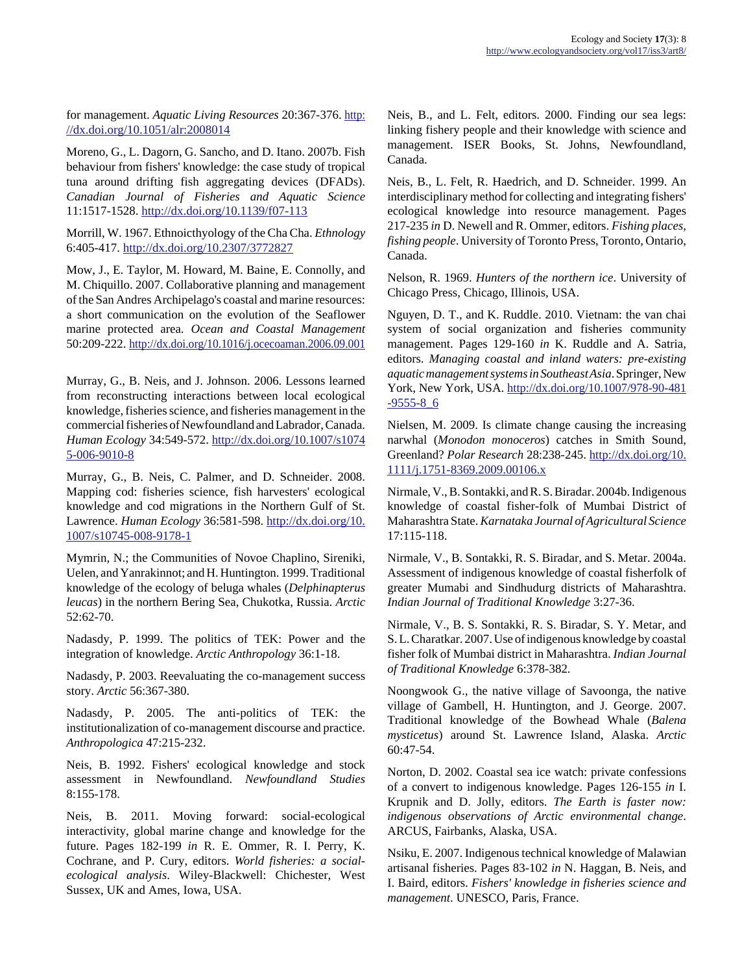for management. *Aquatic Living Resources* 20:367-376. [http:](http://dx.doi.org/10.1051/alr:2008014) [//dx.doi.org/10.1051/alr:2008014](http://dx.doi.org/10.1051/alr:2008014)

Moreno, G., L. Dagorn, G. Sancho, and D. Itano. 2007b. Fish behaviour from fishers' knowledge: the case study of tropical tuna around drifting fish aggregating devices (DFADs). *Canadian Journal of Fisheries and Aquatic Science* 11:1517-1528.<http://dx.doi.org/10.1139/f07-113>

Morrill, W. 1967. Ethnoicthyology of the Cha Cha. *Ethnology* 6:405-417.<http://dx.doi.org/10.2307/3772827>

Mow, J., E. Taylor, M. Howard, M. Baine, E. Connolly, and M. Chiquillo. 2007. Collaborative planning and management of the San Andres Archipelago's coastal and marine resources: a short communication on the evolution of the Seaflower marine protected area. *Ocean and Coastal Management* 50:209-222.<http://dx.doi.org/10.1016/j.ocecoaman.2006.09.001>

Murray, G., B. Neis, and J. Johnson. 2006. Lessons learned from reconstructing interactions between local ecological knowledge, fisheries science, and fisheries management in the commercial fisheries of Newfoundland and Labrador, Canada. *Human Ecology* 34:549-572. [http://dx.doi.org/10.1007/s1074](http://dx.doi.org/10.1007/s10745-006-9010-8) [5-006-9010-8](http://dx.doi.org/10.1007/s10745-006-9010-8) 

Murray, G., B. Neis, C. Palmer, and D. Schneider. 2008. Mapping cod: fisheries science, fish harvesters' ecological knowledge and cod migrations in the Northern Gulf of St. Lawrence. *Human Ecology* 36:581-598. [http://dx.doi.org/10.](http://dx.doi.org/10.1007/s10745-008-9178-1) [1007/s10745-008-9178-1](http://dx.doi.org/10.1007/s10745-008-9178-1) 

Mymrin, N.; the Communities of Novoe Chaplino, Sireniki, Uelen, and Yanrakinnot; and H. Huntington. 1999. Traditional knowledge of the ecology of beluga whales (*Delphinapterus leucas*) in the northern Bering Sea, Chukotka, Russia. *Arctic* 52:62-70.

Nadasdy, P. 1999. The politics of TEK: Power and the integration of knowledge. *Arctic Anthropology* 36:1-18.

Nadasdy, P. 2003. Reevaluating the co-management success story. *Arctic* 56:367-380.

Nadasdy, P. 2005. The anti-politics of TEK: the institutionalization of co-management discourse and practice. *Anthropologica* 47:215-232.

Neis, B. 1992. Fishers' ecological knowledge and stock assessment in Newfoundland. *Newfoundland Studies* 8:155-178.

Neis, B. 2011. Moving forward: social-ecological interactivity, global marine change and knowledge for the future. Pages 182-199 *in* R. E. Ommer, R. I. Perry, K. Cochrane, and P. Cury, editors. *World fisheries: a socialecological analysis*. Wiley-Blackwell: Chichester, West Sussex, UK and Ames, Iowa, USA.

Neis, B., and L. Felt, editors. 2000. Finding our sea legs: linking fishery people and their knowledge with science and management. ISER Books, St. Johns, Newfoundland, Canada.

Neis, B., L. Felt, R. Haedrich, and D. Schneider. 1999. An interdisciplinary method for collecting and integrating fishers' ecological knowledge into resource management. Pages 217-235 *in* D. Newell and R. Ommer, editors. *Fishing places, fishing people*. University of Toronto Press, Toronto, Ontario, Canada.

Nelson, R. 1969. *Hunters of the northern ice*. University of Chicago Press, Chicago, Illinois, USA.

Nguyen, D. T., and K. Ruddle. 2010. Vietnam: the van chai system of social organization and fisheries community management. Pages 129-160 *in* K. Ruddle and A. Satria, editors. *Managing coastal and inland waters: pre-existing aquatic management systems in Southeast Asia*. Springer, New York, New York, USA. [http://dx.doi.org/10.1007/978-90-481](http://dx.doi.org/10.1007/978-90-481-9555-8_6)  $-9555-86$ 

Nielsen, M. 2009. Is climate change causing the increasing narwhal (*Monodon monoceros*) catches in Smith Sound, Greenland? *Polar Research* 28:238-245. [http://dx.doi.org/10.](http://dx.doi.org/10.1111/j.1751-8369.2009.00106.x) [1111/j.1751-8369.2009.00106.x](http://dx.doi.org/10.1111/j.1751-8369.2009.00106.x) 

Nirmale, V., B. Sontakki, and R. S. Biradar. 2004b. Indigenous knowledge of coastal fisher-folk of Mumbai District of Maharashtra State. *Karnataka Journal of Agricultural Science* 17:115-118.

Nirmale, V., B. Sontakki, R. S. Biradar, and S. Metar. 2004a. Assessment of indigenous knowledge of coastal fisherfolk of greater Mumabi and Sindhudurg districts of Maharashtra. *Indian Journal of Traditional Knowledge* 3:27-36.

Nirmale, V., B. S. Sontakki, R. S. Biradar, S. Y. Metar, and S. L. Charatkar. 2007. Use of indigenous knowledge by coastal fisher folk of Mumbai district in Maharashtra. *Indian Journal of Traditional Knowledge* 6:378-382.

Noongwook G., the native village of Savoonga, the native village of Gambell, H. Huntington, and J. George. 2007. Traditional knowledge of the Bowhead Whale (*Balena mysticetus*) around St. Lawrence Island, Alaska. *Arctic* 60:47-54.

Norton, D. 2002. Coastal sea ice watch: private confessions of a convert to indigenous knowledge. Pages 126-155 *in* I. Krupnik and D. Jolly, editors. *The Earth is faster now: indigenous observations of Arctic environmental change*. ARCUS, Fairbanks, Alaska, USA.

Nsiku, E. 2007. Indigenous technical knowledge of Malawian artisanal fisheries. Pages 83-102 *in* N. Haggan, B. Neis, and I. Baird, editors. *Fishers' knowledge in fisheries science and management*. UNESCO, Paris, France.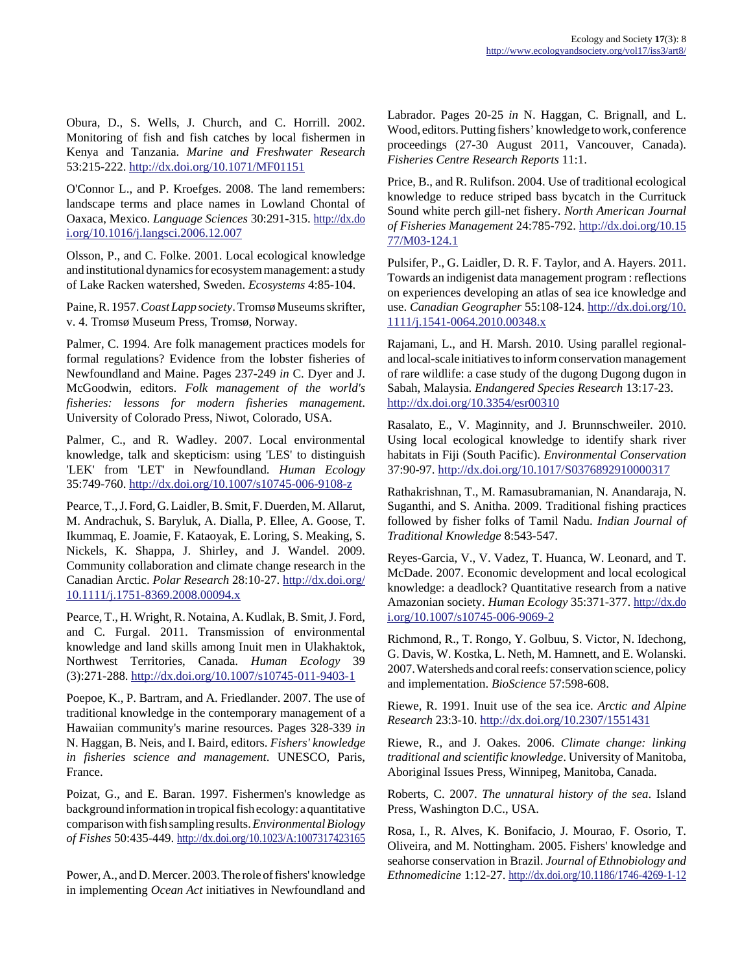Obura, D., S. Wells, J. Church, and C. Horrill. 2002. Monitoring of fish and fish catches by local fishermen in Kenya and Tanzania. *Marine and Freshwater Research* 53:215-222.<http://dx.doi.org/10.1071/MF01151>

O'Connor L., and P. Kroefges. 2008. The land remembers: landscape terms and place names in Lowland Chontal of Oaxaca, Mexico. *Language Sciences* 30:291-315. [http://dx.do](http://dx.doi.org/10.1016/j.langsci.2006.12.007) [i.org/10.1016/j.langsci.2006.12.007](http://dx.doi.org/10.1016/j.langsci.2006.12.007) 

Olsson, P., and C. Folke. 2001. Local ecological knowledge and institutional dynamics for ecosystem management: a study of Lake Racken watershed, Sweden. *Ecosystems* 4:85-104.

Paine, R. 1957. *Coast Lapp society*. Tromsø Museums skrifter, v. 4. Tromsø Museum Press, Tromsø, Norway.

Palmer, C. 1994. Are folk management practices models for formal regulations? Evidence from the lobster fisheries of Newfoundland and Maine. Pages 237-249 *in* C. Dyer and J. McGoodwin, editors. *Folk management of the world's fisheries: lessons for modern fisheries management*. University of Colorado Press, Niwot, Colorado, USA.

Palmer, C., and R. Wadley. 2007. Local environmental knowledge, talk and skepticism: using 'LES' to distinguish 'LEK' from 'LET' in Newfoundland. *Human Ecology* 35:749-760.<http://dx.doi.org/10.1007/s10745-006-9108-z>

Pearce, T., J. Ford, G. Laidler, B. Smit, F. Duerden, M. Allarut, M. Andrachuk, S. Baryluk, A. Dialla, P. Ellee, A. Goose, T. Ikummaq, E. Joamie, F. Kataoyak, E. Loring, S. Meaking, S. Nickels, K. Shappa, J. Shirley, and J. Wandel. 2009. Community collaboration and climate change research in the Canadian Arctic. *Polar Research* 28:10-27. [http://dx.doi.org/](http://dx.doi.org/10.1111/j.1751-8369.2008.00094.x) [10.1111/j.1751-8369.2008.00094.x](http://dx.doi.org/10.1111/j.1751-8369.2008.00094.x)

Pearce, T., H. Wright, R. Notaina, A. Kudlak, B. Smit, J. Ford, and C. Furgal. 2011. Transmission of environmental knowledge and land skills among Inuit men in Ulakhaktok, Northwest Territories, Canada. *Human Ecology* 39 (3):271-288. <http://dx.doi.org/10.1007/s10745-011-9403-1>

Poepoe, K., P. Bartram, and A. Friedlander. 2007. The use of traditional knowledge in the contemporary management of a Hawaiian community's marine resources. Pages 328-339 *in* N. Haggan, B. Neis, and I. Baird, editors. *Fishers' knowledge in fisheries science and management*. UNESCO, Paris, France.

Poizat, G., and E. Baran. 1997. Fishermen's knowledge as background information in tropical fish ecology: a quantitative comparison with fish sampling results. *Environmental Biology of Fishes* 50:435-449. <http://dx.doi.org/10.1023/A:1007317423165>

Power, A., and D. Mercer. 2003. The role of fishers' knowledge in implementing *Ocean Act* initiatives in Newfoundland and Labrador. Pages 20-25 *in* N. Haggan, C. Brignall, and L. Wood, editors. Putting fishers' knowledge to work, conference proceedings (27-30 August 2011, Vancouver, Canada). *Fisheries Centre Research Reports* 11:1.

Price, B., and R. Rulifson. 2004. Use of traditional ecological knowledge to reduce striped bass bycatch in the Currituck Sound white perch gill-net fishery. *North American Journal of Fisheries Management* 24:785-792. [http://dx.doi.org/10.15](http://dx.doi.org/10.1577/M03-124.1) [77/M03-124.1](http://dx.doi.org/10.1577/M03-124.1)

Pulsifer, P., G. Laidler, D. R. F. Taylor, and A. Hayers. 2011. Towards an indigenist data management program : reflections on experiences developing an atlas of sea ice knowledge and use. *Canadian Geographer* 55:108-124. [http://dx.doi.org/10.](http://dx.doi.org/10.1111/j.1541-0064.2010.00348.x) [1111/j.1541-0064.2010.00348.x](http://dx.doi.org/10.1111/j.1541-0064.2010.00348.x)

Rajamani, L., and H. Marsh. 2010. Using parallel regionaland local-scale initiatives to inform conservation management of rare wildlife: a case study of the dugong Dugong dugon in Sabah, Malaysia. *Endangered Species Research* 13:17-23. <http://dx.doi.org/10.3354/esr00310>

Rasalato, E., V. Maginnity, and J. Brunnschweiler. 2010. Using local ecological knowledge to identify shark river habitats in Fiji (South Pacific). *Environmental Conservation* 37:90-97.<http://dx.doi.org/10.1017/S0376892910000317>

Rathakrishnan, T., M. Ramasubramanian, N. Anandaraja, N. Suganthi, and S. Anitha. 2009. Traditional fishing practices followed by fisher folks of Tamil Nadu. *Indian Journal of Traditional Knowledge* 8:543-547.

Reyes-Garcia, V., V. Vadez, T. Huanca, W. Leonard, and T. McDade. 2007. Economic development and local ecological knowledge: a deadlock? Quantitative research from a native Amazonian society. *Human Ecology* 35:371-377. [http://dx.do](http://dx.doi.org/10.1007/s10745-006-9069-2) [i.org/10.1007/s10745-006-9069-2](http://dx.doi.org/10.1007/s10745-006-9069-2) 

Richmond, R., T. Rongo, Y. Golbuu, S. Victor, N. Idechong, G. Davis, W. Kostka, L. Neth, M. Hamnett, and E. Wolanski. 2007. Watersheds and coral reefs: conservation science, policy and implementation. *BioScience* 57:598-608.

Riewe, R. 1991. Inuit use of the sea ice. *Arctic and Alpine Research* 23:3-10.<http://dx.doi.org/10.2307/1551431>

Riewe, R., and J. Oakes. 2006. *Climate change: linking traditional and scientific knowledge*. University of Manitoba, Aboriginal Issues Press, Winnipeg, Manitoba, Canada.

Roberts, C. 2007. *The unnatural history of the sea*. Island Press, Washington D.C., USA.

Rosa, I., R. Alves, K. Bonifacio, J. Mourao, F. Osorio, T. Oliveira, and M. Nottingham. 2005. Fishers' knowledge and seahorse conservation in Brazil. *Journal of Ethnobiology and Ethnomedicine* 1:12-27. <http://dx.doi.org/10.1186/1746-4269-1-12>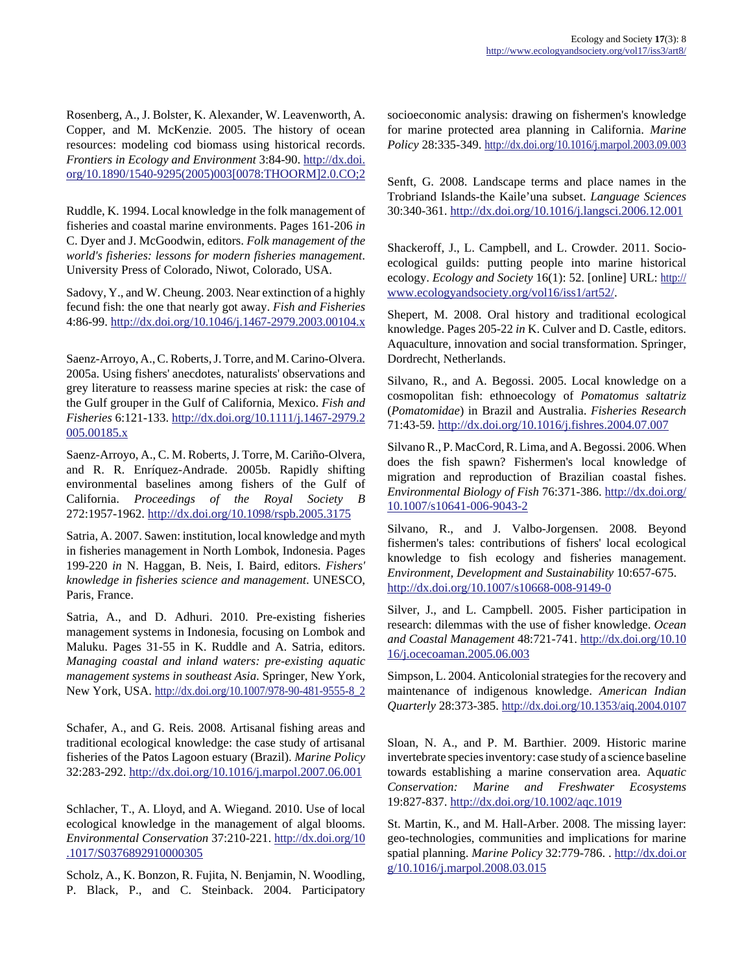Rosenberg, A., J. Bolster, K. Alexander, W. Leavenworth, A. Copper, and M. McKenzie. 2005. The history of ocean resources: modeling cod biomass using historical records. *Frontiers in Ecology and Environment* 3:84-90. [http://dx.doi.](http://dx.doi.org/10.1890/1540-9295(2005)003[0078:THOORM]2.0.CO;2) [org/10.1890/1540-9295\(2005\)003\[0078:THOORM\]2.0.CO;2](http://dx.doi.org/10.1890/1540-9295(2005)003[0078:THOORM]2.0.CO;2)

Ruddle, K. 1994. Local knowledge in the folk management of fisheries and coastal marine environments. Pages 161-206 *in* C. Dyer and J. McGoodwin, editors. *Folk management of the world's fisheries: lessons for modern fisheries management*. University Press of Colorado, Niwot, Colorado, USA.

Sadovy, Y., and W. Cheung. 2003. Near extinction of a highly fecund fish: the one that nearly got away. *Fish and Fisheries* 4:86-99.<http://dx.doi.org/10.1046/j.1467-2979.2003.00104.x>

Saenz-Arroyo, A., C. Roberts, J. Torre, and M. Carino-Olvera. 2005a. Using fishers' anecdotes, naturalists' observations and grey literature to reassess marine species at risk: the case of the Gulf grouper in the Gulf of California, Mexico. *Fish and Fisheries* 6:121-133. [http://dx.doi.org/10.1111/j.1467-2979.2](http://dx.doi.org/10.1111/j.1467-2979.2005.00185.x) [005.00185.x](http://dx.doi.org/10.1111/j.1467-2979.2005.00185.x)

Saenz-Arroyo, A., C. M. Roberts, J. Torre, M. Cariño-Olvera, and R. R. Enríquez-Andrade. 2005b. Rapidly shifting environmental baselines among fishers of the Gulf of California. *Proceedings of the Royal Society B* 272:1957-1962.<http://dx.doi.org/10.1098/rspb.2005.3175>

Satria, A. 2007. Sawen: institution, local knowledge and myth in fisheries management in North Lombok, Indonesia. Pages 199-220 *in* N. Haggan, B. Neis, I. Baird, editors. *Fishers' knowledge in fisheries science and management*. UNESCO, Paris, France.

Satria, A., and D. Adhuri. 2010. Pre-existing fisheries management systems in Indonesia, focusing on Lombok and Maluku. Pages 31-55 in K. Ruddle and A. Satria, editors. *Managing coastal and inland waters: pre-existing aquatic management systems in southeast Asia*. Springer, New York, New York, USA. [http://dx.doi.org/10.1007/978-90-481-9555-8\\_2](http://dx.doi.org/10.1007/978-90-481-9555-8_2)

Schafer, A., and G. Reis. 2008. Artisanal fishing areas and traditional ecological knowledge: the case study of artisanal fisheries of the Patos Lagoon estuary (Brazil). *Marine Policy* 32:283-292.<http://dx.doi.org/10.1016/j.marpol.2007.06.001>

Schlacher, T., A. Lloyd, and A. Wiegand. 2010. Use of local ecological knowledge in the management of algal blooms. *Environmental Conservation* 37:210-221. [http://dx.doi.org/10](http://dx.doi.org/10.1017/S0376892910000305) [.1017/S0376892910000305](http://dx.doi.org/10.1017/S0376892910000305)

Scholz, A., K. Bonzon, R. Fujita, N. Benjamin, N. Woodling, P. Black, P., and C. Steinback. 2004. Participatory socioeconomic analysis: drawing on fishermen's knowledge for marine protected area planning in California. *Marine Policy* 28:335-349.<http://dx.doi.org/10.1016/j.marpol.2003.09.003>

Senft, G. 2008. Landscape terms and place names in the Trobriand Islands-the Kaile'una subset. *Language Sciences* 30:340-361.<http://dx.doi.org/10.1016/j.langsci.2006.12.001>

Shackeroff, J., L. Campbell, and L. Crowder. 2011. Socioecological guilds: putting people into marine historical ecology. *Ecology and Society* 16(1): 52. [online] URL: [http://](http://www.ecologyandsociety.org/vol16/iss1/art52/) [www.ecologyandsociety.org/vol16/iss1/art52/](http://www.ecologyandsociety.org/vol16/iss1/art52/).

Shepert, M. 2008. Oral history and traditional ecological knowledge. Pages 205-22 *in* K. Culver and D. Castle, editors. Aquaculture, innovation and social transformation. Springer, Dordrecht, Netherlands.

Silvano, R., and A. Begossi. 2005. Local knowledge on a cosmopolitan fish: ethnoecology of *Pomatomus saltatriz* (*Pomatomidae*) in Brazil and Australia. *Fisheries Research* 71:43-59.<http://dx.doi.org/10.1016/j.fishres.2004.07.007>

Silvano R., P. MacCord, R. Lima, and A. Begossi. 2006. When does the fish spawn? Fishermen's local knowledge of migration and reproduction of Brazilian coastal fishes. *Environmental Biology of Fish* 76:371-386. [http://dx.doi.org/](http://dx.doi.org/10.1007/s10641-006-9043-2) [10.1007/s10641-006-9043-2](http://dx.doi.org/10.1007/s10641-006-9043-2)

Silvano, R., and J. Valbo-Jorgensen. 2008. Beyond fishermen's tales: contributions of fishers' local ecological knowledge to fish ecology and fisheries management. *Environment, Development and Sustainability* 10:657-675. <http://dx.doi.org/10.1007/s10668-008-9149-0>

Silver, J., and L. Campbell. 2005. Fisher participation in research: dilemmas with the use of fisher knowledge. *Ocean and Coastal Management* 48:721-741. [http://dx.doi.org/10.10](http://dx.doi.org/10.1016/j.ocecoaman.2005.06.003) [16/j.ocecoaman.2005.06.003](http://dx.doi.org/10.1016/j.ocecoaman.2005.06.003) 

Simpson, L. 2004. Anticolonial strategies for the recovery and maintenance of indigenous knowledge. *American Indian Quarterly* 28:373-385.<http://dx.doi.org/10.1353/aiq.2004.0107>

Sloan, N. A., and P. M. Barthier. 2009. Historic marine invertebrate species inventory: case study of a science baseline towards establishing a marine conservation area. Aq*uatic Conservation: Marine and Freshwater Ecosystems* 19:827-837.<http://dx.doi.org/10.1002/aqc.1019>

St. Martin, K., and M. Hall-Arber. 2008. The missing layer: geo-technologies, communities and implications for marine spatial planning. *Marine Policy* 32:779-786. . [http://dx.doi.or](http://dx.doi.org/10.1016/j.marpol.2008.03.015) [g/10.1016/j.marpol.2008.03.015](http://dx.doi.org/10.1016/j.marpol.2008.03.015)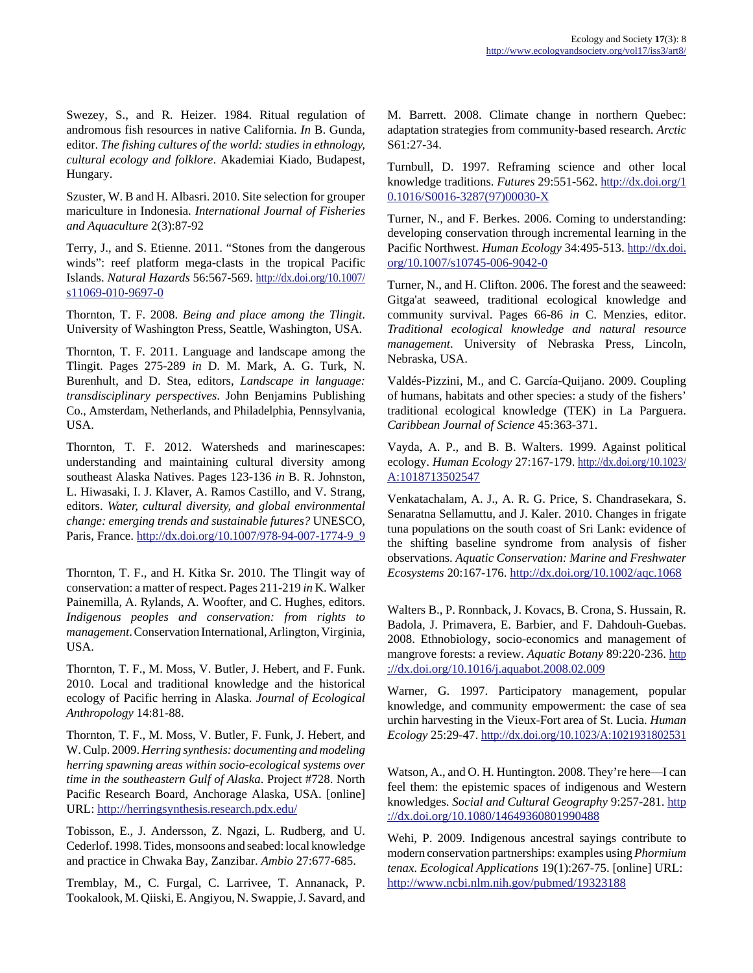Swezey, S., and R. Heizer. 1984. Ritual regulation of andromous fish resources in native California. *In* B. Gunda, editor. *The fishing cultures of the world: studies in ethnology, cultural ecology and folklore*. Akademiai Kiado, Budapest, Hungary.

Szuster, W. B and H. Albasri. 2010. Site selection for grouper mariculture in Indonesia. *International Journal of Fisheries and Aquaculture* 2(3):87-92

Terry, J., and S. Etienne. 2011. "Stones from the dangerous winds": reef platform mega-clasts in the tropical Pacific Islands. *Natural Hazards* 56:567-569. [http://dx.doi.org/10.1007/](http://dx.doi.org/10.1007/s11069-010-9697-0) s11069-010-9697-0

Thornton, T. F. 2008. *Being and place among the Tlingit*. University of Washington Press, Seattle, Washington, USA.

Thornton, T. F. 2011. Language and landscape among the Tlingit. Pages 275-289 *in* D. M. Mark, A. G. Turk, N. Burenhult, and D. Stea, editors, *Landscape in language: transdisciplinary perspectives*. John Benjamins Publishing Co., Amsterdam, Netherlands, and Philadelphia, Pennsylvania, USA.

Thornton, T. F. 2012. Watersheds and marinescapes: understanding and maintaining cultural diversity among southeast Alaska Natives. Pages 123-136 *in* B. R. Johnston, L. Hiwasaki, I. J. Klaver, A. Ramos Castillo, and V. Strang, editors. *Water, cultural diversity, and global environmental change: emerging trends and sustainable futures?* UNESCO, Paris, France. [http://dx.doi.org/10.1007/978-94-007-1774-9\\_9](http://dx.doi.org/10.1007/978-94-007-1774-9_9)

Thornton, T. F., and H. Kitka Sr. 2010. The Tlingit way of conservation: a matter of respect. Pages 211-219 *in* K. Walker Painemilla, A. Rylands, A. Woofter, and C. Hughes, editors. *Indigenous peoples and conservation: from rights to management*. Conservation International, Arlington, Virginia, USA.

Thornton, T. F., M. Moss, V. Butler, J. Hebert, and F. Funk. 2010. Local and traditional knowledge and the historical ecology of Pacific herring in Alaska. *Journal of Ecological Anthropology* 14:81-88.

Thornton, T. F., M. Moss, V. Butler, F. Funk, J. Hebert, and W. Culp. 2009. *Herring synthesis: documenting and modeling herring spawning areas within socio-ecological systems over time in the southeastern Gulf of Alaska*. Project #728. North Pacific Research Board, Anchorage Alaska, USA. [online] URL: [http://herringsynthesis.research.pdx.edu/](http://herringsynthesis.research.pdx.edu//) 

Tobisson, E., J. Andersson, Z. Ngazi, L. Rudberg, and U. Cederlof. 1998. Tides, monsoons and seabed: local knowledge and practice in Chwaka Bay, Zanzibar. *Ambio* 27:677-685.

Tremblay, M., C. Furgal, C. Larrivee, T. Annanack, P. Tookalook, M. Qiiski, E. Angiyou, N. Swappie, J. Savard, and M. Barrett. 2008. Climate change in northern Quebec: adaptation strategies from community-based research. *Arctic* S61:27-34.

Turnbull, D. 1997. Reframing science and other local knowledge traditions. *Futures* 29:551-562. [http://dx.doi.org/1](http://dx.doi.org/10.1016/S0016-3287(97)00030-X) [0.1016/S0016-3287\(97\)00030-X](http://dx.doi.org/10.1016/S0016-3287(97)00030-X)

Turner, N., and F. Berkes. 2006. Coming to understanding: developing conservation through incremental learning in the Pacific Northwest. *Human Ecology* 34:495-513. [http://dx.doi.](http://dx.doi.org/10.1007/s10745-006-9042-0) [org/10.1007/s10745-006-9042-0](http://dx.doi.org/10.1007/s10745-006-9042-0)

Turner, N., and H. Clifton. 2006. The forest and the seaweed: Gitga'at seaweed, traditional ecological knowledge and community survival. Pages 66-86 *in* C. Menzies, editor. *Traditional ecological knowledge and natural resource management*. University of Nebraska Press, Lincoln, Nebraska, USA.

Valdés-Pizzini, M., and C. García-Quijano. 2009. Coupling of humans, habitats and other species: a study of the fishers' traditional ecological knowledge (TEK) in La Parguera. *Caribbean Journal of Science* 45:363-371.

Vayda, A. P., and B. B. Walters. 1999. Against political ecology. *Human Ecology* 27:167-179. [http://dx.doi.org/10.1023/](http://dx.doi.org/10.1023/A:1018713502547) [A:1018713502547](http://dx.doi.org/10.1023/A:1018713502547)

Venkatachalam, A. J., A. R. G. Price, S. Chandrasekara, S. Senaratna Sellamuttu, and J. Kaler. 2010. Changes in frigate tuna populations on the south coast of Sri Lank: evidence of the shifting baseline syndrome from analysis of fisher observations. *Aquatic Conservation: Marine and Freshwater Ecosystems* 20:167-176. <http://dx.doi.org/10.1002/aqc.1068>

Walters B., P. Ronnback, J. Kovacs, B. Crona, S. Hussain, R. Badola, J. Primavera, E. Barbier, and F. Dahdouh-Guebas. 2008. Ethnobiology, socio-economics and management of mangrove forests: a review. *Aquatic Botany* 89:220-236. [http](http://dx.doi.org/10.1016/j.aquabot.2008.02.009) [://dx.doi.org/10.1016/j.aquabot.2008.02.009](http://dx.doi.org/10.1016/j.aquabot.2008.02.009) 

Warner, G. 1997. Participatory management, popular knowledge, and community empowerment: the case of sea urchin harvesting in the Vieux-Fort area of St. Lucia. *Human Ecology* 25:29-47.<http://dx.doi.org/10.1023/A:1021931802531>

Watson, A., and O. H. Huntington. 2008. They're here—I can feel them: the epistemic spaces of indigenous and Western knowledges. *Social and Cultural Geography* 9:257-281. [http](http://dx.doi.org/10.1080/14649360801990488) [://dx.doi.org/10.1080/14649360801990488](http://dx.doi.org/10.1080/14649360801990488) 

Wehi, P. 2009. Indigenous ancestral sayings contribute to modern conservation partnerships: examples using *Phormium tenax*. *Ecological Applications* 19(1):267-75. [online] URL: <http://www.ncbi.nlm.nih.gov/pubmed/19323188>